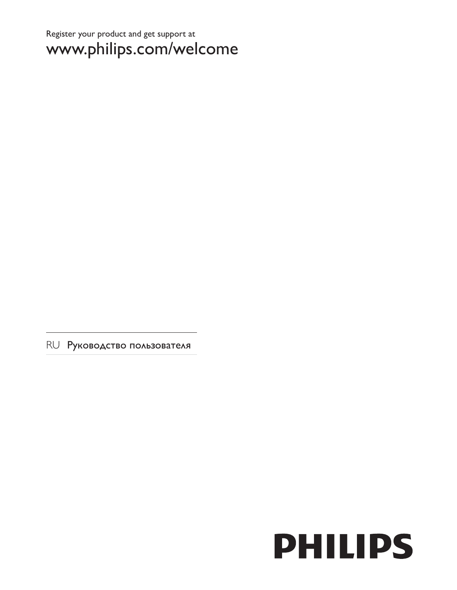# Register your product and get support at www.philips.com/welcome

RU Руководство пользователя

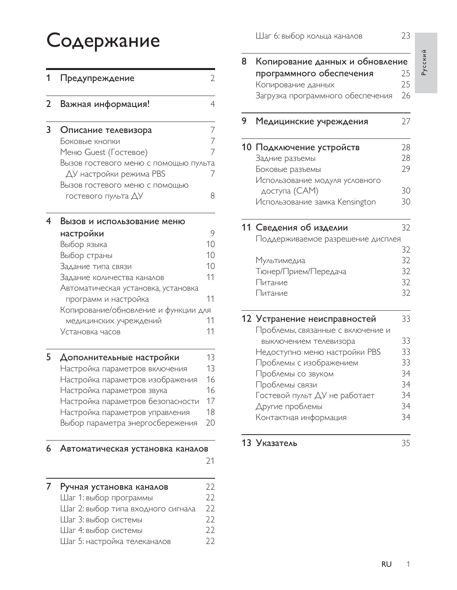# Содержание

| $\overline{2}$<br>Важная информация!<br>3<br>Описание телевизора<br>Боковые кнопки<br>7<br>Меню Guest (Гостевое)<br>Вызов гостевого меню с помощью пульта<br>ДУ настройки режима PBS<br>7<br>Вызов гостевого меню с помощью<br>8<br>гостевого пульта ДУ<br>4<br>Вызов и использование меню<br>настройки<br>Выбор языка<br>Выбор страны<br>Задание типа связи<br>Задание количества каналов<br>Автоматическая установка, установка<br>программ и настройка<br>Копирование/обновление и функции для<br>медицинских учреждений<br>Установка часов<br>5<br>Дополнительные настройки<br>Настройка параметров включения<br>Настройка параметров изображения<br>Настройка параметров звука<br>Настройка параметров безопасности<br>Настройка параметров управления<br>Выбор параметра энергосбережения<br>6<br>Автоматическая установка каналов<br>7<br>Ручная установка каналов<br>Шаг 1: выбор программы<br>Шаг 2: выбор типа входного сигнала<br>Шаг 3: выбор системы<br>Шаг 4: выбор системы | 1 | Предупреждение               | $\overline{2}$ |
|-------------------------------------------------------------------------------------------------------------------------------------------------------------------------------------------------------------------------------------------------------------------------------------------------------------------------------------------------------------------------------------------------------------------------------------------------------------------------------------------------------------------------------------------------------------------------------------------------------------------------------------------------------------------------------------------------------------------------------------------------------------------------------------------------------------------------------------------------------------------------------------------------------------------------------------------------------------------------------------------|---|------------------------------|----------------|
|                                                                                                                                                                                                                                                                                                                                                                                                                                                                                                                                                                                                                                                                                                                                                                                                                                                                                                                                                                                           |   |                              | $\overline{4}$ |
|                                                                                                                                                                                                                                                                                                                                                                                                                                                                                                                                                                                                                                                                                                                                                                                                                                                                                                                                                                                           |   |                              | 7              |
|                                                                                                                                                                                                                                                                                                                                                                                                                                                                                                                                                                                                                                                                                                                                                                                                                                                                                                                                                                                           |   |                              | 7              |
|                                                                                                                                                                                                                                                                                                                                                                                                                                                                                                                                                                                                                                                                                                                                                                                                                                                                                                                                                                                           |   |                              |                |
|                                                                                                                                                                                                                                                                                                                                                                                                                                                                                                                                                                                                                                                                                                                                                                                                                                                                                                                                                                                           |   |                              |                |
|                                                                                                                                                                                                                                                                                                                                                                                                                                                                                                                                                                                                                                                                                                                                                                                                                                                                                                                                                                                           |   |                              |                |
|                                                                                                                                                                                                                                                                                                                                                                                                                                                                                                                                                                                                                                                                                                                                                                                                                                                                                                                                                                                           |   |                              |                |
|                                                                                                                                                                                                                                                                                                                                                                                                                                                                                                                                                                                                                                                                                                                                                                                                                                                                                                                                                                                           |   |                              |                |
|                                                                                                                                                                                                                                                                                                                                                                                                                                                                                                                                                                                                                                                                                                                                                                                                                                                                                                                                                                                           |   |                              |                |
|                                                                                                                                                                                                                                                                                                                                                                                                                                                                                                                                                                                                                                                                                                                                                                                                                                                                                                                                                                                           |   |                              | 9              |
|                                                                                                                                                                                                                                                                                                                                                                                                                                                                                                                                                                                                                                                                                                                                                                                                                                                                                                                                                                                           |   |                              | 10             |
|                                                                                                                                                                                                                                                                                                                                                                                                                                                                                                                                                                                                                                                                                                                                                                                                                                                                                                                                                                                           |   |                              | 10             |
|                                                                                                                                                                                                                                                                                                                                                                                                                                                                                                                                                                                                                                                                                                                                                                                                                                                                                                                                                                                           |   |                              | 10             |
|                                                                                                                                                                                                                                                                                                                                                                                                                                                                                                                                                                                                                                                                                                                                                                                                                                                                                                                                                                                           |   |                              | 11             |
|                                                                                                                                                                                                                                                                                                                                                                                                                                                                                                                                                                                                                                                                                                                                                                                                                                                                                                                                                                                           |   |                              |                |
|                                                                                                                                                                                                                                                                                                                                                                                                                                                                                                                                                                                                                                                                                                                                                                                                                                                                                                                                                                                           |   |                              | 11             |
|                                                                                                                                                                                                                                                                                                                                                                                                                                                                                                                                                                                                                                                                                                                                                                                                                                                                                                                                                                                           |   |                              |                |
|                                                                                                                                                                                                                                                                                                                                                                                                                                                                                                                                                                                                                                                                                                                                                                                                                                                                                                                                                                                           |   |                              | 11             |
|                                                                                                                                                                                                                                                                                                                                                                                                                                                                                                                                                                                                                                                                                                                                                                                                                                                                                                                                                                                           |   |                              | 11             |
|                                                                                                                                                                                                                                                                                                                                                                                                                                                                                                                                                                                                                                                                                                                                                                                                                                                                                                                                                                                           |   |                              | 13             |
|                                                                                                                                                                                                                                                                                                                                                                                                                                                                                                                                                                                                                                                                                                                                                                                                                                                                                                                                                                                           |   |                              | 13             |
|                                                                                                                                                                                                                                                                                                                                                                                                                                                                                                                                                                                                                                                                                                                                                                                                                                                                                                                                                                                           |   |                              | 16             |
|                                                                                                                                                                                                                                                                                                                                                                                                                                                                                                                                                                                                                                                                                                                                                                                                                                                                                                                                                                                           |   |                              | 16             |
|                                                                                                                                                                                                                                                                                                                                                                                                                                                                                                                                                                                                                                                                                                                                                                                                                                                                                                                                                                                           |   |                              | 17             |
|                                                                                                                                                                                                                                                                                                                                                                                                                                                                                                                                                                                                                                                                                                                                                                                                                                                                                                                                                                                           |   |                              | 18             |
|                                                                                                                                                                                                                                                                                                                                                                                                                                                                                                                                                                                                                                                                                                                                                                                                                                                                                                                                                                                           |   |                              | 20             |
|                                                                                                                                                                                                                                                                                                                                                                                                                                                                                                                                                                                                                                                                                                                                                                                                                                                                                                                                                                                           |   |                              |                |
|                                                                                                                                                                                                                                                                                                                                                                                                                                                                                                                                                                                                                                                                                                                                                                                                                                                                                                                                                                                           |   |                              | 21             |
|                                                                                                                                                                                                                                                                                                                                                                                                                                                                                                                                                                                                                                                                                                                                                                                                                                                                                                                                                                                           |   |                              | 22             |
|                                                                                                                                                                                                                                                                                                                                                                                                                                                                                                                                                                                                                                                                                                                                                                                                                                                                                                                                                                                           |   |                              | 22             |
|                                                                                                                                                                                                                                                                                                                                                                                                                                                                                                                                                                                                                                                                                                                                                                                                                                                                                                                                                                                           |   |                              | 22             |
|                                                                                                                                                                                                                                                                                                                                                                                                                                                                                                                                                                                                                                                                                                                                                                                                                                                                                                                                                                                           |   |                              | 22             |
|                                                                                                                                                                                                                                                                                                                                                                                                                                                                                                                                                                                                                                                                                                                                                                                                                                                                                                                                                                                           |   |                              | 22             |
|                                                                                                                                                                                                                                                                                                                                                                                                                                                                                                                                                                                                                                                                                                                                                                                                                                                                                                                                                                                           |   | Шаг 5: настройка телеканалов | 22             |

Шаг 6: выбор кольца каналов

Русский

| 8 | Копирование данных и обновление   |    |
|---|-----------------------------------|----|
|   | программного обеспечения          | 25 |
|   | Копирование данных                | 25 |
|   | Загрузка программного обеспечения | 26 |
| 9 | Медицинские учреждения            | 27 |
|   | 10 Подключение устройств          | 28 |
|   | Задние разъемы                    | 28 |
|   | Боковые разъемы                   | 29 |
|   | Использование модуля условного    |    |
|   | доступа (САМ)                     | 30 |
|   | Использование замка Kensington    | 30 |
|   | 11 Сведения об изделии            | 32 |
|   | Поддерживаемое разрешение дисплея |    |
|   |                                   | 32 |
|   | Мультимедиа                       | 32 |
|   | Тюнер/Прием/Передача              | 32 |
|   | Питание                           | 32 |
|   | Питание                           | 32 |
|   | 12 Устранение неисправностей      | 33 |
|   | Проблемы, связанные с включение и |    |
|   | выключением телевизора            | 33 |
|   | Недоступно меню настройки PBS     | 33 |
|   | Проблемы с изображением           | 33 |
|   | Проблемы со звуком                | 34 |
|   | Проблемы связи                    | 34 |
|   | Гостевой пульт ДУ не работает     | 34 |
|   | Другие проблемы                   | 34 |
|   | Контактная информация             | 34 |
|   |                                   |    |

13 Указатель

35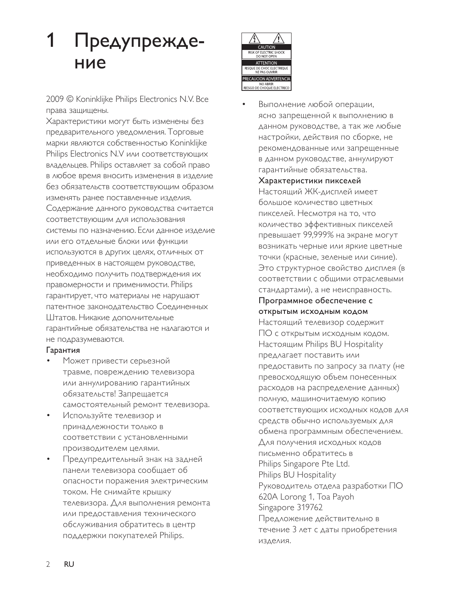# 1 Предупреждение

2009 © Koninklijke Philips Electronics N.V. Bce права защищены.

Характеристики могут быть изменены без предварительного уведомления. Торговые марки являются собственностью Koninklijke Philips Electronics N.V или соответствующих владельцев. Philips оставляет за собой право в любое время вносить изменения в изделие без обязательств соответствующим образом изменять ранее поставленные изделия. Содержание данного руководства считается соответствующим для использования системы по назначению. Если данное изделие или его отдельные блоки или функции используются в других целях, отличных от приведенных в настоящем руководстве, необходимо получить подтверждения их правомерности и применимости. Philips гарантирует, что материалы не нарушают патентное законодательство Соединенных Штатов. Никакие дополнительные гарантийные обязательства не налагаются и не подразумеваются.

#### Гарантия

- Может привести серьезной травме, повреждению телевизора или аннулированию гарантийных обязательств! Запрещается самостоятельный ремонт телевизора.
- Используйте телевизор и принадлежности только в соответствии с установленными производителем целями.
- Предупредительный знак на задней панели телевизора сообщает об опасности поражения электрическим током. Не снимайте крышку телевизора. Для выполнения ремонта или предоставления технического обслуживания обратитесь в центр поддержки покупателей Philips.



Выполнение любой операции, ясно запрещенной к выполнению в данном руководстве, а так же любые настройки, действия по сборке, не рекомендованные или запрещенные в данном руководстве, аннулируют гарантийные обязательства.

#### Характеристики пикселей

Настоящий ЖК-дисплей имеет большое количество цветных пикселей. Несмотря на то, что количество эффективных пикселей превышает 99,999% на экране могут возникать черные или яркие цветные точки (красные, зеленые или синие). Это структурное свойство дисплея (в соответствии с общими отраслевыми стандартами), а не неисправность.

Программное обеспечение с открытым исходным кодом

Настоящий телевизор содержит ПО с открытым исходным кодом. Настоящим Philips BU Hospitality предлагает поставить или предоставить по запросу за плату (не превосходящую объем понесенных расходов на распределение данных) полную, машиночитаемую копию СООТВЕТСТВУЮЩИХ ИСХОДНЫХ КОДОВ ДЛЯ средств обычно используемых для обмена программным обеспечением. Для получения исходных кодов письменно обратитесь в Philips Singapore Pte Ltd. Philips BU Hospitality Руководитель отдела разработки ПО 620A Lorong 1, Toa Payoh Singapore 319762 Предложение действительно в течение 3 лет с даты приобретения изделия.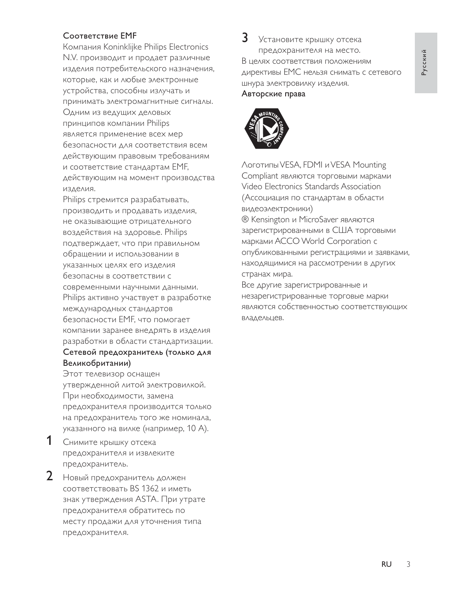### Соответствие ЕМЕ

Компания Koninklijke Philips Electronics N.V. производит и продает различные изделия потребительского назначения, которые, как и любые электронные устройства, способны излучать и принимать электромагнитные сигналы. Одним из ведущих деловых принципов компании Philips является применение всех мер безопасности для соответствия всем действующим правовым требованиям и соответствие стандартам ЕМГ, действующим на момент производства ИЗДЕЛИЯ.

Philips стремится разрабатывать, производить и продавать изделия, не оказывающие отрицательного воздействия на здоровье. Philips подтверждает, что при правильном обращении и использовании в указанных целях его изделия безопасны в соответствии с современными научными данными. Philips активно участвует в разработке международных стандартов безопасности ЕМГ, что помогает компании заранее внедрять в изделия разработки в области стандартизации.

## Сетевой предохранитель (только для Великобритании)

Этот телевизор оснащен утвержденной литой электровилкой. При необходимости, замена предохранителя производится только на предохранитель того же номинала, указанного на вилке (например, 10 А).

- Снимите крышку отсека предохранителя и извлеките предохранитель.
- $\mathbf{2}$ Новый предохранитель должен соответствовать BS 1362 и иметь знак утверждения ASTA. При утрате предохранителя обратитесь по месту продажи для уточнения типа предохранителя.

3 Установите крышку отсека предохранителя на место. В целях соответствия положениям директивы ЕМС нельзя снимать с сетевого шнура электровилку изделия. Авторские права



Логотипы VESA, FDMI и VESA Mounting Compliant являются торговыми марками Video Electronics Standards Association (Ассоциация по стандартам в области видеоэлектроники)

® Kensington и MicroSaver являются зарегистрированными в США торговыми марками ACCO World Corporation с опубликованными регистрациями и заявками, находящимися на рассмотрении в других странах мира.

Все другие зарегистрированные и незарегистрированные торговые марки являются собственностью соответствующих владельцев.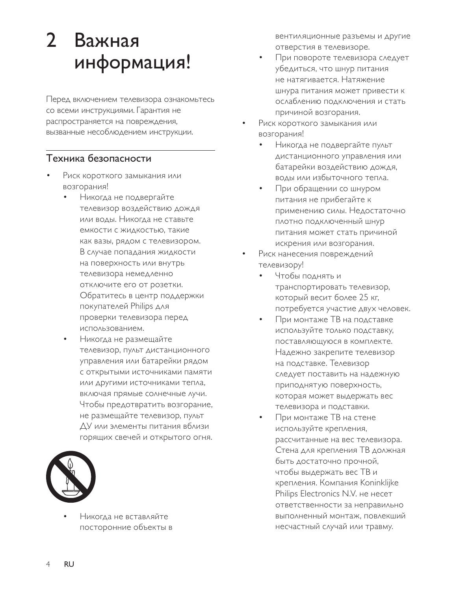# $\overline{2}$ Важная информация!

Перед включением телевизора ознакомьтесь со всеми инструкциями. Гарантия не распространяется на повреждения, вызванные несоблюдением инструкции.

## Техника безопасности

- Риск короткого замыкания или возгорания!
	- Никогда не подвергайте телевизор воздействию дождя или воды. Никогда не ставьте емкости с жидкостью, такие как вазы, рядом с телевизором. В случае попадания жидкости на поверхность или внутрь телевизора немедленно отключите его от розетки. Обратитесь в центр поддержки покупателей Philips для проверки телевизора перед использованием.
	- Никогда не размещайте телевизор, пульт дистанционного управления или батарейки рядом с открытыми источниками памяти или другими источниками тепла, включая прямые солнечные лучи. Чтобы предотвратить возгорание, не размещайте телевизор, пульт ДУ или элементы питания вблизи горящих свечей и открытого огня.



Никогда не вставляйте посторонние объекты в

вентиляционные разъемы и другие отверстия в телевизоре.

- При повороте телевизора следует убедиться, что шнур питания не натягивается. Натяжение шнура питания может привести к ослаблению подключения и стать причиной возгорания.
- Риск короткого замыкания или возгорания!
	- Никогда не подвергайте пульт дистанционного управления или батарейки воздействию дождя, воды или избыточного тепла.
	- При обращении со шнуром питания не прибегайте к применению силы. Недостаточно плотно подключенный шнур питания может стать причиной искрения или возгорания.
- Риск нанесения повреждений телевизору!
	- Чтобы поднять и транспортировать телевизор, который весит более 25 кг, потребуется участие двух человек.
	- При монтаже ТВ на подставке используйте только подставку, поставляющуюся в комплекте. Надежно закрепите телевизор на подставке. Телевизор следует поставить на надежную приподнятую поверхность, которая может выдержать вес телевизора и подставки.
	- При монтаже ТВ на стене используйте крепления, рассчитанные на вес телевизора. Стена для крепления ТВ должная быть достаточно прочной, чтобы выдержать вес ТВ и крепления. Компания Koninklijke Philips Electronics N.V. не несет ответственности за неправильно выполненный монтаж, повлекший несчастный случай или травму.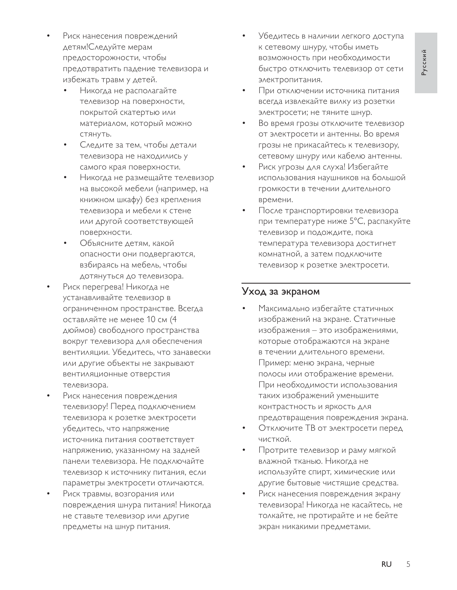- Риск нанесения повреждений детям!Следуйте мерам предосторожности, чтобы предотвратить падение телевизора и избежать травм у детей.
	- Никогда не располагайте телевизор на поверхности, покрытой скатертью или материалом, который можно стянуть.
	- Следите за тем, чтобы детали телевизора не находились у самого края поверхности.
	- Никогда не размещайте телевизор на высокой мебели (например, на книжном шкафу) без крепления телевизора и мебели к стене или другой соответствующей поверхности.
	- Объясните детям, какой опасности они подвергаются, взбираясь на мебель, чтобы дотянуться до телевизора.
- Риск перегрева! Никогда не устанавливайте телевизор в ограниченном пространстве. Всегда оставляйте не менее 10 см (4 дюймов) свободного пространства вокруг телевизора для обеспечения вентиляции. Убедитесь, что занавески или другие объекты не закрывают вентиляционные отверстия телевизора.
- Риск нанесения повреждения телевизору! Перед подключением телевизора к розетке электросети убедитесь, что напряжение источника питания соответствует напряжению, указанному на задней панели телевизора. Не подключайте телевизор к источнику питания, если параметры электросети отличаются.
- Риск травмы, возгорания или повреждения шнура питания! Никогда не ставьте телевизор или другие предметы на шнур питания.
- Убедитесь в наличии легкого доступа к сетевому шнуру, чтобы иметь возможность при необходимости быстро отключить телевизор от сети электропитания.
- При отключении источника питания всегда извлекайте вилку из розетки электросети; не тяните шнур.
- Во время грозы отключите телевизор от электросети и антенны. Во время грозы не прикасайтесь к телевизору, сетевому шнуру или кабелю антенны.
- Риск угрозы для слуха! Избегайте использования наушников на большой громкости в течении длительного времени.
- После транспортировки телевизора при температуре ниже 5°С, распакуйте телевизор и подождите, пока температура телевизора достигнет комнатной, а затем подключите телевизор к розетке электросети.

### Уход за экраном

- Максимально избегайте статичных изображений на экране. Статичные изображения – это изображениями, которые отображаются на экране в течении длительного времени. Пример: меню экрана, черные полосы или отображение времени. При необходимости использования таких изображений уменьшите контрастность и яркость для предотвращения повреждения экрана.
- Отключите ТВ от электросети перед чисткой.
- Протрите телевизор и раму мягкой влажной тканью. Никогда не используйте спирт, химические или другие бытовые чистящие средства.
- Риск нанесения повреждения экрану телевизора! Никогда не касайтесь, не толкайте, не протирайте и не бейте экран никакими предметами.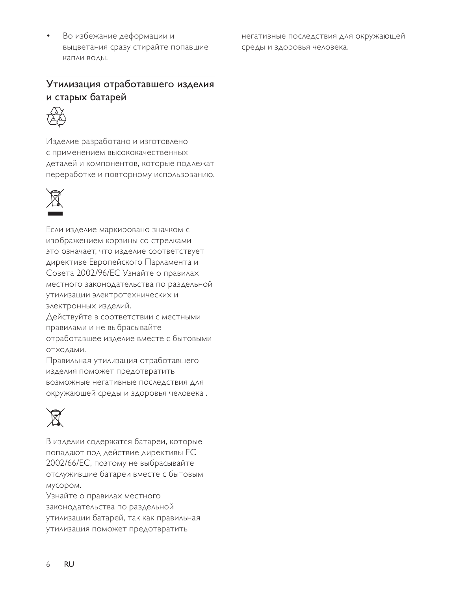Во избежание деформации и выцветания сразу стирайте попавшие капли воды.

## Утилизация отработавшего изделия и старых батарей



Изделие разработано и изготовлено с применением высококачественных деталей и компонентов, которые подлежат переработке и повторному использованию.



Если изделие маркировано значком с изображением корзины со стрелками это означает, что изделие соответствует директиве Европейского Парламента и Совета 2002/96/ЕС Узнайте о правилах местного законодательства по раздельной утилизации электротехнических и электронных изделий.

Действуйте в соответствии с местными правилами и не выбрасывайте отработавшее изделие вместе с бытовыми отходами.

Правильная утилизация отработавшего изделия поможет предотвратить возможные негативные последствия для окружающей среды и здоровья человека.



В изделии содержатся батареи, которые попадают под действие директивы ЕС 2002/66/ЕС, поэтому не выбрасывайте отслужившие батареи вместе с бытовым мусором.

Узнайте о правилах местного законодательства по раздельной утилизации батарей, так как правильная утилизация поможет предотвратить

негативные последствия для окружающей среды и здоровья человека.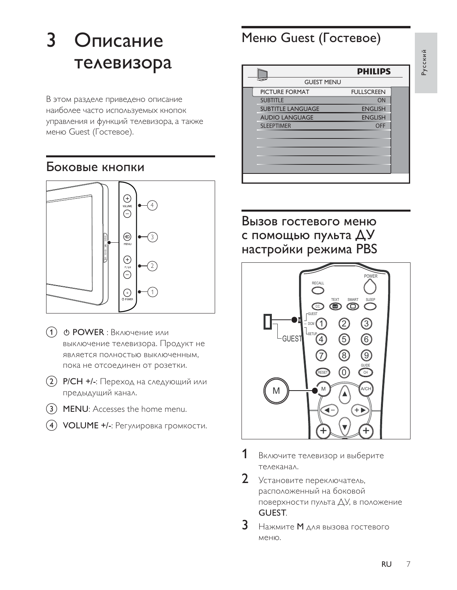# $\overline{3}$ Описание телевизора

В этом разделе приведено описание наиболее часто используемых кнопок управления и функций телевизора, а также меню Guest (Гостевое).

## Боковые кнопки



- (1) Ф POWER : Включение или выключение телевизора. Продукт не ЯВЛЯЕТСЯ ПОЛНОСТЬЮ ВЫКЛЮЧЕННЫМ, пока не отсоединен от розетки.
- (2) Р/СН +/-: Переход на следующий или предыдущий канал.
- (3) MENU: Accesses the home menu.
- (4) VOLUME +/-: Регулировка громкости.

# Меню Guest (Гостевое)

|                          | <b>PHILIPS</b>    |  |
|--------------------------|-------------------|--|
| <b>GUEST MENU</b>        |                   |  |
| <b>PICTURE FORMAT</b>    | <b>FULLSCREEN</b> |  |
| <b>SUBTITLE</b>          | ON                |  |
| <b>SUBTITLE LANGUAGE</b> | <b>ENGLISH</b>    |  |
| <b>AUDIO LANGUAGE</b>    | <b>ENGLISH</b>    |  |
| <b>SLEEPTIMER</b>        | <b>OFF</b>        |  |
|                          |                   |  |
|                          |                   |  |
|                          |                   |  |
|                          |                   |  |
|                          |                   |  |
|                          |                   |  |
|                          |                   |  |

Вызов гостевого меню с помощью пульта ДУ настройки режима PBS



- 1 Включите телевизор и выберите телеканал.
- $\overline{2}$ Установите переключатель, расположенный на боковой поверхности пульта ДУ, в положение **GUEST.**
- 3 Нажмите М для вызова гостевого меню.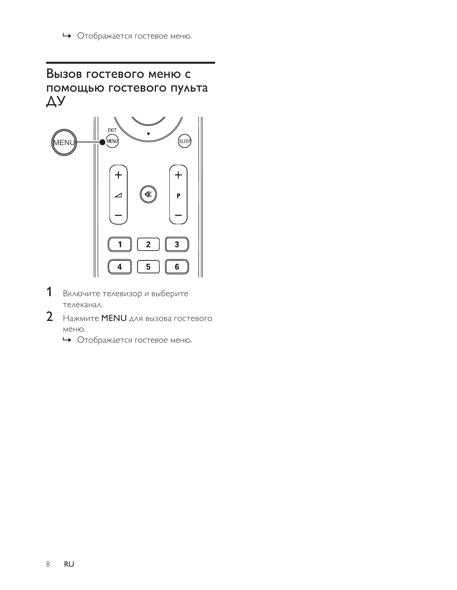Вызов гостевого меню с помощью гостевого пульта ДУ



- $\mathbf 1$ Включите телевизор и выберите телеканал.
- 2 Нажмите MENU для вызова гостевого меню.
	- Отображается гостевое меню.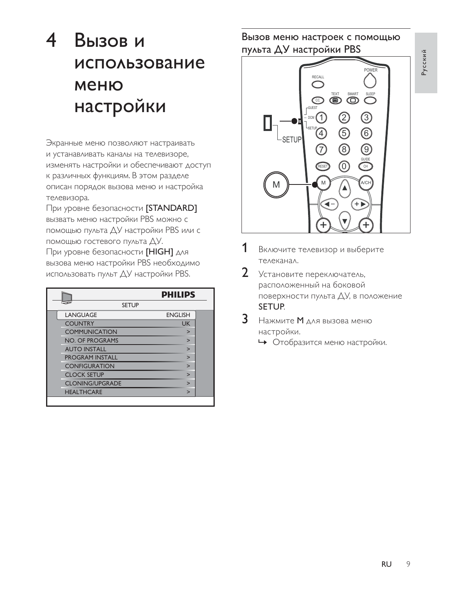# Вызов и 4 **ИСПОЛЬЗОВАНИЕ меню** настройки

Экранные меню позволяют настраивать и устанавливать каналы на телевизоре, изменять настройки и обеспечивают доступ к различных функциям. В этом разделе описан порядок вызова меню и настройка телевизора.

При уровне безопасности [STANDARD] вызвать меню настройки PBS можно с помощью пульта ДУ настройки PBS или с помощью гостевого пульта ДУ.

При уровне безопасности [HIGH] для вызова меню настройки PBS необходимо использовать пульт ДУ настройки PBS.

|                        | <b>PHILIPS</b> |
|------------------------|----------------|
| <b>SETUP</b>           |                |
| LANGUAGE               | <b>ENGLISH</b> |
| <b>COUNTRY</b>         | <b>UK</b>      |
| <b>COMMUNICATION</b>   | ⋗              |
| <b>NO. OF PROGRAMS</b> | $\geq$         |
| <b>AUTO INSTALL</b>    | ⋗              |
| <b>PROGRAM INSTALL</b> | $\geq$         |
| <b>CONFIGURATION</b>   | $\overline{ }$ |
| <b>CLOCK SETUP</b>     | $\mathbf{v}$   |
| <b>CLONING/UPGRADE</b> | $\overline{ }$ |
| <b>HEALTHCARE</b>      | $\geq$         |
|                        |                |

## Вызов меню настроек с помощью пульта ДУ настройки PBS



- 1 Включите телевизор и выберите телеканал.
- 2 Установите переключатель, расположенный на боковой поверхности пульта ДУ, в положение SETUP.
- 3 Нажмите М для вызова меню настройки.
	- Отобразится меню настройки.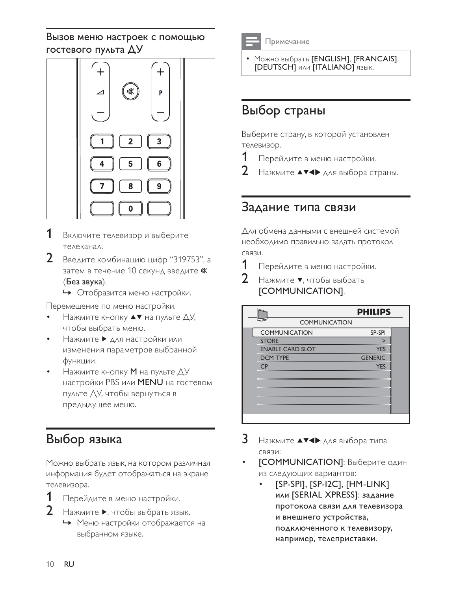Вызов меню настроек с помощью гостевого пульта ДУ



- 1 Включите телевизор и выберите телеканал.
- $\mathbf{2}$ Введите комбинацию цифр "319753", а затем в течение 10 секунд введите • (Без звука).
	- Отобразится меню настройки.

Перемещение по меню настройки.

- Нажмите кнопку ▲▼ на пульте ДУ, чтобы выбрать меню.
- Нажмите ► для настройки или изменения параметров выбранной функции.
- Нажмите кнопку М на пульте ДУ настройки PBS или MENU на гостевом пульте ДУ, чтобы вернуться в предыдущее меню.

# Выбор языка

Можно выбрать язык, на котором различная информация будет отображаться на экране телевизора.

- 1 Перейдите в меню настройки.
- 2 Нажмите >, чтобы выбрать язык.
	- Меню настройки отображается на выбранном языке.



#### Примечание

• Можно выбрать [ENGLISH], [FRANCAIS], [DEUTSCH] ИЛИ [ITALIANO] ЯЗЫК.

# Выбор страны

Выберите страну, в которой установлен телевизор.

- 1 Перейдите в меню настройки.
- Нажмите АТА Аля выбора страны.

## Задание типа связи

Для обмена данными с внешней системой необходимо правильно задать протокол СВЯЗИ.

- 1 Перейдите в меню настройки.
- 2 Нажмите ▼, чтобы выбрать [COMMUNICATION].

|                         | <b>PHILIPS</b> |  |
|-------------------------|----------------|--|
| <b>COMMUNICATION</b>    |                |  |
| <b>COMMUNICATION</b>    | SP-SPI         |  |
| <b>STORE</b>            |                |  |
| <b>ENABLE CARD SLOT</b> | <b>YES</b>     |  |
| <b>DCM TYPE</b>         | <b>GENERIC</b> |  |
| CP                      | <b>YES</b>     |  |
|                         |                |  |
|                         |                |  |
|                         |                |  |
|                         |                |  |
|                         |                |  |
|                         |                |  |

- 3 Нажмите ▲▼◀▶ для выбора типа СВЯЗИ:
- [COMMUNICATION]: Выберите один из следующих вариантов:
	- [SP-SPI], [SP-I2C], [HM-LINK] или [SERIAL XPRESS]: задание протокола связи для телевизора и внешнего устройства, подключенного к телевизору, например, телеприставки.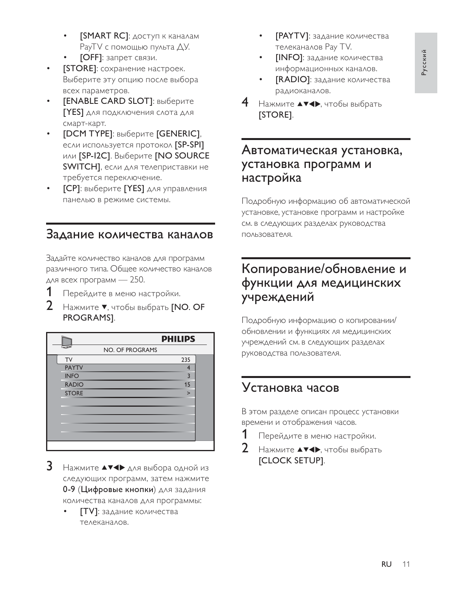- [SMART RC]: доступ к каналам РауТV с помощью пульта ДУ.
- ГОҒҒ]: запрет связи.
- [STORE]: сохранение настроек. Выберите эту опцию после выбора всех параметров.
- [ENABLE CARD SLOT]: выберите **[YES]** для подключения слота для смарт-карт.
- **[DCM TYPE]**: выберите **[GENERIC]**, если используется протокол [SP-SPI] ИЛИ [SP-I2C]. Выберите [NO SOURCE **SWITCH]**, если для телеприставки не требуется переключение.
- **[CP]**: выберите **[YES]** для управления панелью в режиме системы.

## Задание количества каналов

Задайте количество каналов для программ различного типа. Общее количество каналов для всех программ — 250.

- 1 Перейдите в меню настройки.
- 2 Нажмите V, чтобы выбрать [NO. OF PROGRAMS].

|              | <b>PHILIPS</b>          |  |
|--------------|-------------------------|--|
|              | <b>NO. OF PROGRAMS</b>  |  |
| <b>TV</b>    | 235                     |  |
| <b>PAYTV</b> | 4                       |  |
| <b>INFO</b>  | $\overline{\mathbf{3}}$ |  |
| <b>RADIO</b> | 15                      |  |
| <b>STORE</b> | $\geq$                  |  |
|              |                         |  |
|              |                         |  |
|              |                         |  |
|              |                         |  |
|              |                         |  |
|              |                         |  |

- 3 Нажмите АТА для выбора одной из следующих программ, затем нажмите 0-9 (Цифровые кнопки) для задания количества каналов для программы:
	- **[TV]**: задание количества телеканалов.
- [PAYTV]: задание количества телеканалов Pay TV.
- **[INFO]**: задание количества информационных каналов.
- **[RADIO]**: задание количества радиоканалов.
- Нажмите ▲▼◀▶, чтобы выбрать [STORE].

## Автоматическая установка, установка программ и настройка

Подробную информацию об автоматической установке, установке программ и настройке см. в следующих разделах руководства пользователя.

# Копирование/обновление и функции для медицинских учреждений

Подробную информацию о копировании/ обновлении и функциях ля медицинских учреждений см. в следующих разделах руководства пользователя.

# Установка часов

В этом разделе описан процесс установки времени и отображения часов.

- Перейдите в меню настройки.
- $\overline{2}$ Нажмите ▲▼◆ ,чтобы выбрать [CLOCK SETUP].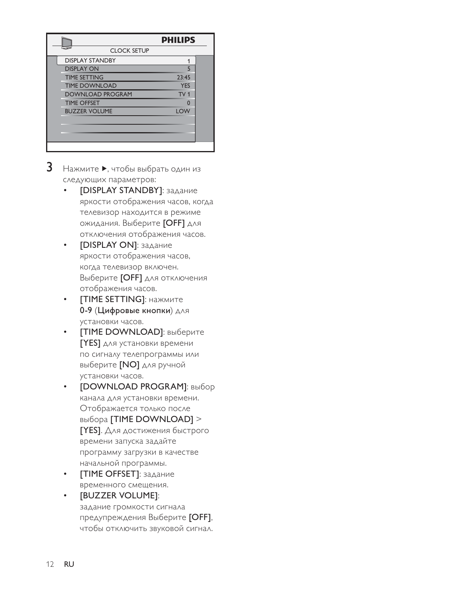| 5               |
|-----------------|
| 23:45           |
| <b>YFS</b>      |
| TV <sub>1</sub> |
|                 |
| LOW             |
|                 |
|                 |
|                 |
|                 |

- $\overline{3}$ Нажмите •, чтобы выбрать один из следующих параметров:
	- **[DISPLAY STANDBY]**: задание яркости отображения часов, когда телевизор находится в режиме ожидания. Выберите **[OFF]** для отключения отображения часов.
	- [DISPLAY ON]: задание  $\bullet$ яркости отображения часов, когда телевизор включен. Выберите [ОҒҒ] для отключения отображения часов.
	- **[TIME SETTING]: нажмите**  $\bullet$ 0-9 (Цифровые кнопки) для установки часов.
	- $\bullet$ [TIME DOWNLOAD]: выберите [YES] для установки времени по сигналу телепрограммы или выберите [NO] для ручной установки часов.
	- [DOWNLOAD PROGRAM]: BbI6op  $\bullet$ канала для установки времени. Отображается только после выбора [TIME DOWNLOAD] > **[YES].** Для достижения быстрого времени запуска задайте программу загрузки в качестве начальной программы.
	- [TIME OFFSET]: задание  $\bullet$ временного смещения.
	- [BUZZER VOLUME]: задание громкости сигнала предупреждения Выберите [OFF], чтобы отключить звуковой сигнал.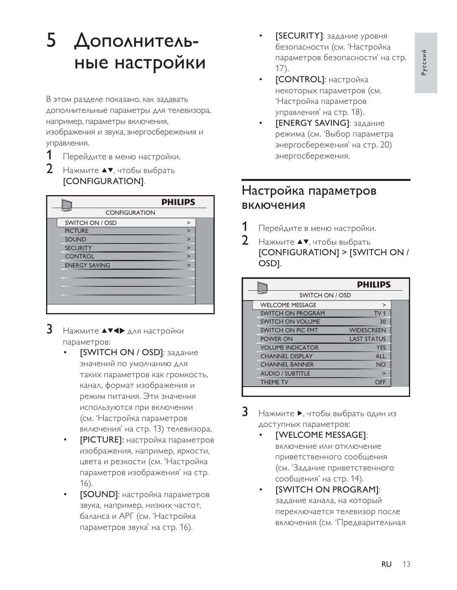# 5 Дополнительные настройки

В этом разделе показано, как задавать дополнительные параметры для телевизора, например, параметры включения, изображения и звука, энергосбережения и управления.

- 1 Перейдите в меню настройки.
- $\overline{2}$ Нажмите ▲▼, чтобы выбрать [CONFIGURATION].

|                      | <b>PHILIPS</b> |
|----------------------|----------------|
| <b>CONFIGURATION</b> |                |
| SWITCH ON / OSD      | >              |
| <b>PICTURE</b>       | $\overline{ }$ |
| <b>SOUND</b>         | $\geq$         |
| <b>SECURITY</b>      | $\overline{ }$ |
| <b>CONTROL</b>       | $\overline{ }$ |
| <b>ENERGY SAVING</b> | $\geq$         |
|                      |                |
|                      |                |
|                      |                |
|                      |                |
|                      |                |

- 3 Нажмите АТА для настройки параметров:
	- **[SWITCH ON / OSD]: задание** значений по умолчанию для таких параметров как громкость, канал, формат изображения и режим питания. Эти значения ИСПОЛЬЗУЮТСЯ ПРИ ВКЛЮЧЕНИИ (см. Настройка параметров включения' на стр. 13) телевизора.
	- [PICTURE]: настройка параметров изображения, например, яркости, цвета и резкости (см. Настройка параметров изображения' на стр.  $16$ ).
	- [SOUND]: настройка параметров звука, например, низких частот, баланса и АРГ (см. Настройка параметров звука' на стр. 16).
- **[SECURITY]**: задание уровня безопасности (см. Настройка параметров безопасности' на стр.  $17$ ).
- **[CONTROL]**: настройка некоторых параметров (см. Настройка параметров управления' на стр. 18).
- **[ENERGY SAVING]: задание** режима (см. Выбор параметра энергосбережения' на стр. 20) энергосбережения.

## Настройка параметров **ВКЛЮЧЕНИЯ**

- 1 Перейдите в меню настройки.
- Нажмите ▲▼, чтобы выбрать [CONFIGURATION] > [SWITCH ON / OSD<sub>1</sub>.

|                          | <b>PHILIPS</b>     |  |
|--------------------------|--------------------|--|
| SWITCH ON / OSD          |                    |  |
| <b>WELCOME MESSAGE</b>   | $\geq$             |  |
| <b>SWITCH ON PROGRAM</b> | TV <sub>1</sub>    |  |
| <b>SWITCH ON VOLUME</b>  | 30                 |  |
| SWITCH ON PIC FMT        | <b>WIDESCREEN</b>  |  |
| POWER ON                 | <b>LAST STATUS</b> |  |
| <b>VOLUME INDICATOR</b>  | <b>YFS</b>         |  |
| <b>CHANNEL DISPLAY</b>   | <b>ALL</b>         |  |
| <b>CHANNEL BANNER</b>    | <b>NO</b>          |  |
| <b>AUDIO / SUBTITLE</b>  | ⋗                  |  |
| <b>THEME TV</b>          | OFF                |  |
|                          |                    |  |

- 3 Нажмите >, чтобы выбрать один из доступных параметров:
	- **[WELCOME MESSAGE]:** ВКЛЮЧЕНИЕ ИЛИ ОТКЛЮЧЕНИЕ приветственного сообщения (см. Задание приветственного сообщения' на стр. 14).
	- [SWITCH ON PROGRAM]: задание канала, на который переключается телевизор после включения (см. 'Предварительная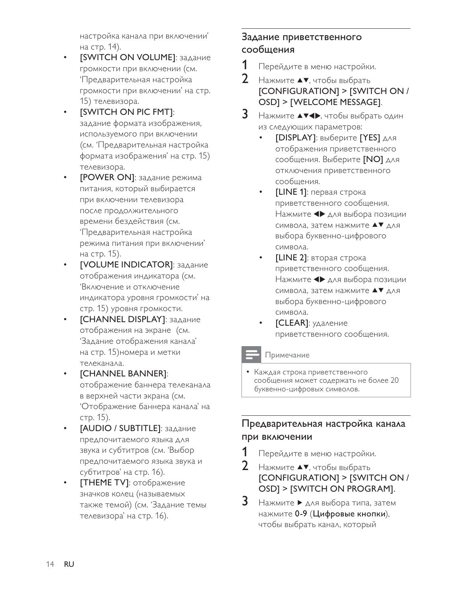настройка канала при включении' на стр. 14).

- **[SWITCH ON VOLUME]**: задание громкости при включении (см. "Предварительная настройка громкости при включении' на стр. 15) телевизора.
- [SWITCH ON PIC FMT]: задание формата изображения, используемого при включении (см. 'Предварительная настройка формата изображения' на стр. 15) телевизора.
- **[POWER ON]: задание режима** питания, который выбирается при включении телевизора после продолжительного времени бездействия (см. 'Предварительная настройка режима питания при включении' на стр. 15).
- [VOLUME INDICATOR]: задание отображения индикатора (см. Включение и отключение индикатора уровня громкости' на стр. 15) уровня громкости.
- **[CHANNEL DISPLAY]**: задание отображения на экране (см. "Задание отображения канала" на стр. 15) номера и метки телеканала.
- **[CHANNEL BANNER]:** отображение баннера телеканала в верхней части экрана (см. Отображение баннера канала' на стр. 15).
- [AUDIO / SUBTITLE]: задание предпочитаемого языка для звука и субтитров (см. Выбор предпочитаемого языка звука и субтитров' на стр. 16).
- [THEME TV]: отображение значков колец (называемых также темой) (см. 'Задание темы телевизора' на стр. 16).

## Задание приветственного сообшения

- 1 Перейдите в меню настройки.
- $\overline{2}$ Нажмите ▲▼, чтобы выбрать [CONFIGURATION] > [SWITCH ON / OSD] > [WELCOME MESSAGE].
- 3 Нажмите ▲▼◀▶, чтобы выбрать один из следующих параметров:
	- $[DISPLAY]$ : выберите  $[YES]$  для отображения приветственного сообщения. Выберите **[NO]** для отключения приветственного сообщения.
	- [LINE 1]: первая строка приветственного сообщения. Нажмите • для выбора позиции символа, затем нажмите ▲▼ для выбора буквенно-цифрового символа.
	- [LINE 2]: вторая строка приветственного сообщения. Нажмите • для выбора позиции символа, затем нажмите АТ для выбора буквенно-цифрового символа.
	- [CLEAR]: удаление приветственного сообщения.

## Примечание

• Каждая строка приветственного сообщения может содержать не более 20 буквенно-цифровых символов.

## Предварительная настройка канала при включении

- Перейдите в меню настройки.
- $\mathcal{P}$ Нажмите ▲▼, чтобы выбрать [CONFIGURATION] > [SWITCH ON / OSD] > [SWITCH ON PROGRAM].
- 3 Нажмите ► для выбора типа, затем нажмите 0-9 (Цифровые кнопки), чтобы выбрать канал, который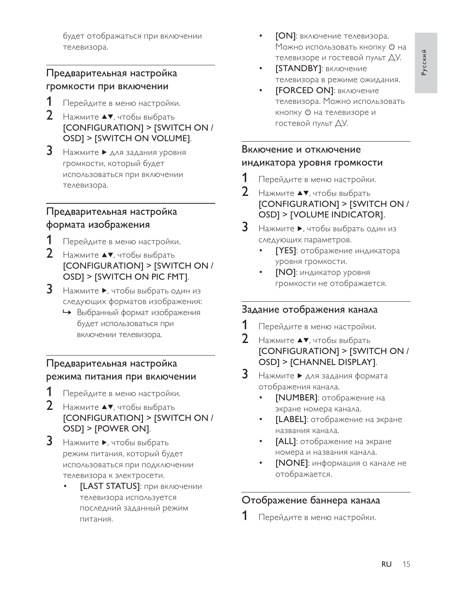будет отображаться при включении телевизора.

## Предварительная настройка громкости при включении

- 1 Перейдите в меню настройки.
- $\overline{2}$ Нажмите ▲▼, чтобы выбрать [CONFIGURATION] > [SWITCH ON / OSD] > [SWITCH ON VOLUME].
- 3 Нажмите ▶ для задания уровня громкости, который будет использоваться при включении телевизора.

## Предварительная настройка формата изображения

- Перейдите в меню настройки.
- $2<sup>1</sup>$ Нажмите ▲▼, чтобы выбрать [CONFIGURATION] > [SWITCH ON / OSD] > [SWITCH ON PIC FMT].
- 3 Нажмите >, чтобы выбрать один из следующих форматов изображения:
	- Выбранный формат изображения будет использоваться при включении телевизора.

## Предварительная настройка режима питания при включении

- Перейдите в меню настройки.
- $\mathbf 2$ Нажмите ▲▼, чтобы выбрать [CONFIGURATION] > [SWITCH ON / OSD] > [POWER ON].
- $3$  Нажмите  $\blacktriangleright$ , чтобы выбрать режим питания, который будет использоваться при подключении телевизора к электросети.
	- [LAST STATUS]: при включении телевизора используется последний заданный режим питания.
- **[ON]**: включение телевизора. Можно использовать кнопку Ф на телевизоре и гостевой пульт ДУ.
- **[STANDBY]: ВКЛЮЧЕНИЕ** телевизора в режиме ожидания.
- **[FORCED ON]: BKAIOYEHIJE** телевизора. Можно использовать кнопку Ф на телевизоре и гостевой пульт ДУ.

## Включение и отключение индикатора уровня громкости

- Перейдите в меню настройки.
- $\mathbf{2}$ Нажмите ▲▼, чтобы выбрать [CONFIGURATION] > [SWITCH ON / OSD] > [VOLUME INDICATOR].
- 3 Нажмите >, чтобы выбрать один из следующих параметров.
	- [YES]: отображение индикатора уровня громкости.
	- **[NO]**: индикатор уровня громкости не отображается.

## Задание отображения канала

- Перейдите в меню настройки.
- $\mathcal{L}$ Нажмите ▲▼, чтобы выбрать [CONFIGURATION] > [SWITCH ON / OSD] > [CHANNEL DISPLAY].
- 3 Нажмите ► для задания формата отображения канала.
	- **[NUMBER]**: отображение на экране номера канала.
	- **[LABEL]**: отображение на экране названия канала.
	- **[ALL]**: отображение на экране номера и названия канала.
	- **[NONE]**: информация о канале не отображается.

## Отображение баннера канала

Перейдите в меню настройки.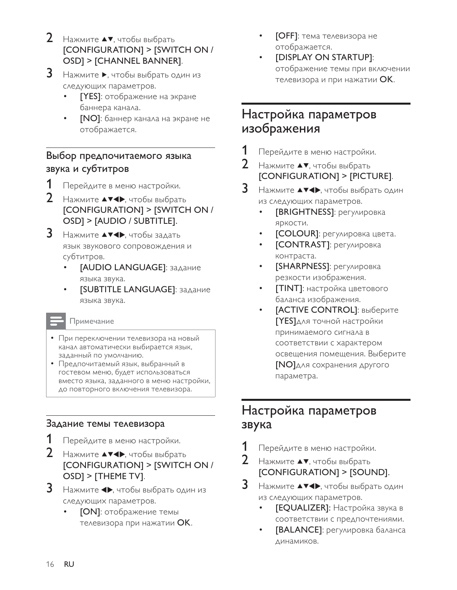#### $\mathcal{P}$ Нажмите ▲▼, чтобы выбрать [CONFIGURATION] > [SWITCH ON / OSD] > [CHANNEL BANNER].

- $3$  Нажмите  $\blacktriangleright$ , чтобы выбрать один из следующих параметров.
	- [YES]: отображение на экране баннера канала.
	- [NO]: баннер канала на экране не отображается.

## Выбор предпочитаемого языка звука и субтитров

- 1 Перейдите в меню настройки.
- $\overline{2}$ Нажмите ▲▼◀▶, чтобы выбрать [CONFIGURATION] > [SWITCH ON / OSD] > [AUDIO / SUBTITLE].
- 3 Нажмите ▲▼◀▶, чтобы задать язык звукового сопровождения и субтитров.
	- **[AUDIO LANGUAGE]**: задание языка звука.
	- [SUBTITLE LANGUAGE]: задание языка звука.

## Примечание

- При переключении телевизора на новый канал автоматически выбирается язык, заданный по умолчанию.
- Предпочитаемый язык, выбранный в гостевом меню, будет использоваться вместо языка, заданного в меню настройки, до повторного включения телевизора.

## Задание темы телевизора

- 1 Перейдите в меню настройки.
- $\mathcal{P}$ Нажмите ▲▼◆ ,чтобы выбрать [CONFIGURATION] > [SWITCH ON / OSD] > [THEME TV].
- $3$  Нажмите  $\blacklozenge$ , чтобы выбрать один из следующих параметров.
	- **[ON]**: отображение темы телевизора при нажатии ОК.
- [OFF]: тема телевизора не отображается.
- [DISPLAY ON STARTUP]: отображение темы при включении телевизора и при нажатии ОК.

# Настройка параметров изображения

- 1 Перейдите в меню настройки.
- $\mathcal{D}$ Нажмите ▲▼, чтобы выбрать [CONFIGURATION] > [PICTURE].
- 3 Нажмите ▲▼◆, чтобы выбрать один из следующих параметров.
	- [BRIGHTNESS]: регулировка яркости.
	- [COLOUR]: регулировка цвета.
	- **[CONTRAST]**: регулировка контраста.
	- **[SHARPNESS]**: регулировка резкости изображения.
	- **[TINT]**: настройка цветового баланса изображения.
	- [ACTIVE CONTROL]: выберите [YES] для точной настройки принимаемого сигнала в соответствии с характером освещения помещения. Выберите **[NO]**для сохранения другого параметра.

# Настройка параметров звука

- 1 Перейдите в меню настройки.
- $\overline{2}$ Нажмите ▲▼, чтобы выбрать [CONFIGURATION] > [SOUND].
- 3 Нажмите ▲▼◀▶, чтобы выбрать один из следующих параметров.
	- **[EQUALIZER]:** Настройка звука в соответствии с предпочтениями.
	- **[BALANCE]**: регулировка баланса динамиков.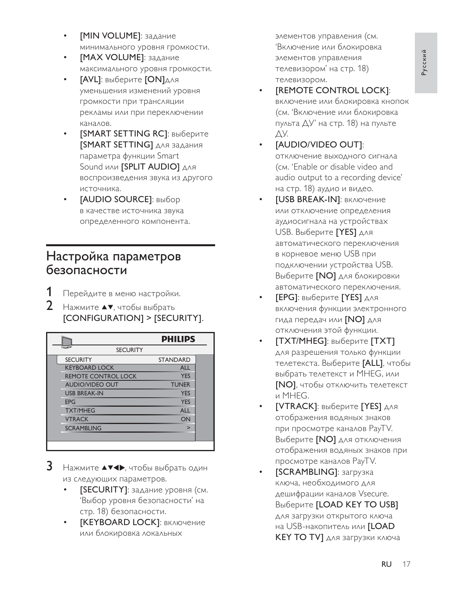- **[MIN VOLUME]**: задание минимального уровня громкости.
- **[MAX VOLUME]**: задание максимального уровня громкости.
- **[AVL]**: выберите **[ON]** ДЛЯ уменьшения изменений уровня громкости при трансляции рекламы или при переключении каналов.
- **[SMART SETTING RC]**: выберите **[SMART SETTING] ДЛЯ ЗАДАНИЯ** параметра функции Smart Sound или [SPLIT AUDIO] ДЛЯ воспроизведения звука из другого источника.
- **[AUDIO SOURCE]**: выбор в качестве источника звука определенного компонента.

# Настройка параметров безопасности

- Перейдите в меню настройки.
- $2<sup>1</sup>$ Нажмите ▲▼, чтобы выбрать [CONFIGURATION] > [SECURITY].

|                            | <b>PHILIPS</b>  |
|----------------------------|-----------------|
| <b>SECURITY</b>            |                 |
| <b>SECURITY</b>            | <b>STANDARD</b> |
| <b>KEYBOARD LOCK</b>       | <b>ALL</b>      |
| <b>REMOTE CONTROL LOCK</b> | <b>YFS</b>      |
| <b>AUDIO/VIDEO OUT</b>     | <b>TUNER</b>    |
| <b>USB BREAK-IN</b>        | <b>YFS</b>      |
| <b>FPG</b>                 | <b>YFS</b>      |
| <b>TXT/MHEG</b>            | <b>ALL</b>      |
| <b>VTRACK</b>              | ON              |
| <b>SCRAMBLING</b>          | $\overline{ }$  |
|                            |                 |
|                            |                 |

- 3 Нажмите ▲▼◆ ,чтобы выбрать один из следующих параметров.
	- [SECURITY]: задание уровня (см. Выбор уровня безопасности' на стр. 18) безопасности.
	- **[KEYBOARD LOCK]: BKAIOYeHIAE** или блокировка локальных

элементов управления (см. Включение или блокировка элементов управления телевизором' на стр. 18) телевизором.

- **[REMOTE CONTROL LOCK]:** включение или блокировка кнопок (см. Включение или блокировка пульта ДУ' на стр. 18) на пульте ДУ.
- [AUDIO/VIDEO OUT]: отключение выходного сигнала (см. 'Enable or disable video and audio output to a recording device' на стр. 18) аудио и видео.
- [USB BREAK-IN]: BKAIOYeHUE или отключение определения аудиосигнала на устройствах USB. Выберите [YES] для автоматического переключения в корневое меню USB при подключении устройства USB. Выберите [NO] для блокировки автоматического переключения.
- **[EPG]**: выберите **[YES]** для включения функции электронного гида передач или [NO] для отключения этой функции.
- [TXT/MHEG]: выберите [TXT] для разрешения только функции телетекста. Выберите [ALL], чтобы выбрать телетекст и MHEG, или **[NO]**, чтобы отключить телетекст и MHFG.
- **[VTRACK]**: выберите [YES] для отображения водяных знаков при просмотре каналов РауТV. Выберите [NO] для отключения отображения водяных знаков при просмотре каналов PayTV.
- **[SCRAMBLING]**: загрузка ключа, необходимого для дешифрации каналов Vsecure. Выберите [LOAD KEY TO USB] для загрузки открытого ключа на USB-накопитель или [LOAD **KEY TO TV]** для загрузки ключа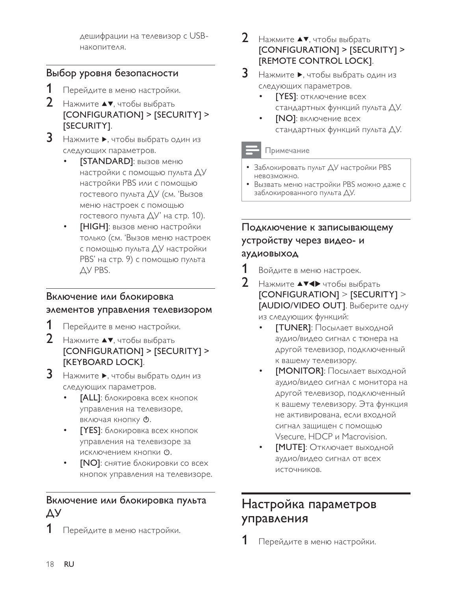дешифрации на телевизор с USBнакопителя.

## Выбор уровня безопасности

- 1 Перейдите в меню настройки.
- $\mathbf{2}$ Нажмите ▲▼, чтобы выбрать [CONFIGURATION] > [SECURITY] > [SECURITY].
- 3 Нажмите  $\blacktriangleright$ , чтобы выбрать один из следующих параметров.
	- **[STANDARD]: BbI3OB MeHIO** настройки с помощью пульта ДУ настройки PBS или с помощью гостевого пульта ДУ (см. Вызов меню настроек с помощью гостевого пульта ДУ' на стр. 10).
	- **[HIGH]**: вызов меню настройки только (см. Вызов меню настроек с помощью пульта ДУ настройки PBS' на стр. 9) с помощью пульта  $\Delta$ y PBS.

## Включение или блокировка элементов управления телевизором

- Перейдите в меню настройки.
- $\mathcal{P}$ Нажмите ▲▼, чтобы выбрать [CONFIGURATION] > [SECURITY] > [KEYBOARD LOCK].
- 3 Нажмите  $\blacktriangleright$ , чтобы выбрать один из следующих параметров.
	- **[ALL]**: блокировка всех кнопок управления на телевизоре, включая кнопку Ф.
	- **[YES]**: блокировка всех кнопок управления на телевизоре за исключением кнопки Ф.
	- **[NO]**: снятие блокировки со всех кнопок управления на телевизоре.

## Включение или блокировка пульта ΔУ

Перейдите в меню настройки.

- $\mathcal{P}$ Нажмите ▲▼, чтобы выбрать [CONFIGURATION] > [SECURITY] > [REMOTE CONTROL LOCK].
- 3 Нажмите >, чтобы выбрать один из следующих параметров.
	- **[YES]**: отключение всех стандартных функций пульта ДУ.
	- **[NO]**: включение всех стандартных функций пульта ДУ.

### Примечание

- Заблокировать пульт ДУ настройки PBS невозможно.
- Вызвать меню настройки PBS можно даже с заблокированного пульта ДУ.

## Подключение к записывающему устройству через видео- и аудиовыход

- Войдите в меню настроек.
- $\overline{2}$ Нажмите АУ Ф чтобы выбрать [CONFIGURATION] > [SECURITY] > [AUDIO/VIDEO OUT]. Выберите одну из следующих функций:
	- [TUNER]: Посылает выходной аудио/видео сигнал с тюнера на другой телевизор, подключенный к вашему телевизору.
	- [MONITOR]: Посылает выходной аудио/видео сигнал с монитора на другой телевизор, подключенный к вашему телевизору. Эта функция не активирована, если входной сигнал защищен с помощью Vsecure, HDCP и Macrovision.
	- **[MUTE]**: Отключает выходной аудио/видео сигнал от всех ИСТОЧНИКОВ.

# Настройка параметров управления

Перейдите в меню настройки.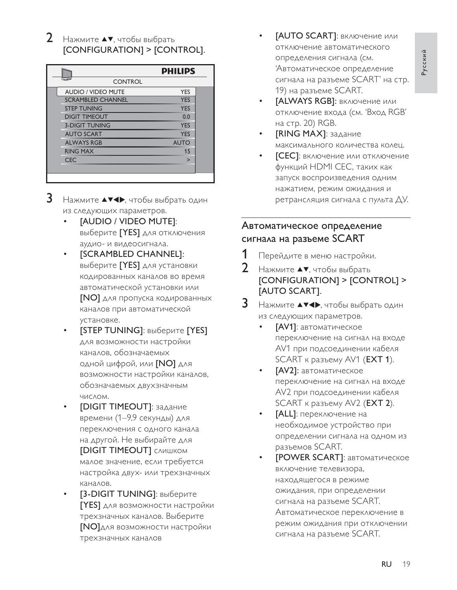$\mathcal{P}$ Нажмите ▲▼, чтобы выбрать [CONFIGURATION] > [CONTROL].

|                          | <b>PHILIPS</b> |  |
|--------------------------|----------------|--|
| <b>CONTROL</b>           |                |  |
| AUDIO / VIDEO MUTE       | <b>YES</b>     |  |
| <b>SCRAMBLED CHANNEL</b> | <b>YES</b>     |  |
| <b>STEP TUNING</b>       | <b>YES</b>     |  |
| <b>DIGIT TIMEOUT</b>     | 0.0            |  |
| <b>3-DIGIT TUNING</b>    | <b>YFS</b>     |  |
| <b>AUTO SCART</b>        | <b>YFS</b>     |  |
| <b>ALWAYS RGB</b>        | <b>AUTO</b>    |  |
| <b>RING MAX</b>          | 15             |  |
| <b>CEC</b>               | ↘              |  |
|                          |                |  |
|                          |                |  |

- 3 Нажмите ▲▼◆ ,чтобы выбрать один из следующих параметров.
	- [AUDIO / VIDEO MUTE]: выберите [YES] для отключения аудио- и видеосигнала.
	- [SCRAMBLED CHANNEL]: выберите [YES] для установки кодированных каналов во время автоматической установки или [NO] для пропуска кодированных каналов при автоматической установке.
	- **[STEP TUNING]**: выберите [YES] ДЛЯ ВОЗМОЖНОСТИ НАСТРОЙКИ каналов, обозначаемых одной цифрой, или [NO] для возможности настройки каналов, обозначаемых двухзначным ЧИСЛОМ.
	- [DIGIT TIMEOUT]: задание времени (1-9,9 секунды) для переключения с одного канала на другой. Не выбирайте для [DIGIT TIMEOUT] CAMILIKOM малое значение, если требуется настройка двух- или трехзначных каналов.
	- [3-DIGIT TUNING]: выберите **[YES]** для возможности настройки трехзначных каналов. Выберите **[NO]**для возможности настройки трехзначных каналов
- **[AUTO SCART]: ВКЛЮЧЕНИЕ ИЛИ** отключение автоматического определения сигнала (см. Автоматическое определение сигнала на разъеме SCART' на стр. 19) на разъеме SCART.
- **[ALWAYS RGB]: ВКЛЮЧЕНИЕ ИЛИ** отключение входа (см. 'Вход RGB' на стр. 20) RGB.
- **[RING MAX]**: задание максимального количества колец.
- **[CEC]**: включение или отключение функций HDMI CEC, таких как запуск воспроизведения одним нажатием, режим ожидания и ретрансляция сигнала с пульта ДУ.

## Автоматическое определение сигнала на разъеме SCART

- 1 Перейдите в меню настройки.
- $\mathcal{P}$ Нажмите ▲▼, чтобы выбрать [CONFIGURATION] > [CONTROL] > [AUTO SCART].
- 3 Нажмите ▲▼◀▶, чтобы выбрать один из следующих параметров.
	- [AV1]: автоматическое переключение на сигнал на входе AV1 при подсоединении кабеля SCART к разъему AV1 (**EXT 1**).
	- **[AV2]: автоматическое** переключение на сигнал на входе AV2 при подсоединении кабеля SCART к разъему AV2 (**EXT 2**).
	- **[ALL]**: переключение на необходимое устройство при определении сигнала на одном из разъемов SCART.
	- [POWER SCART]: автоматическое включение телевизора, находящегося в режиме ожидания, при определении сигнала на разъеме SCART. Автоматическое переключение в режим ожидания при отключении сигнала на разъеме SCART.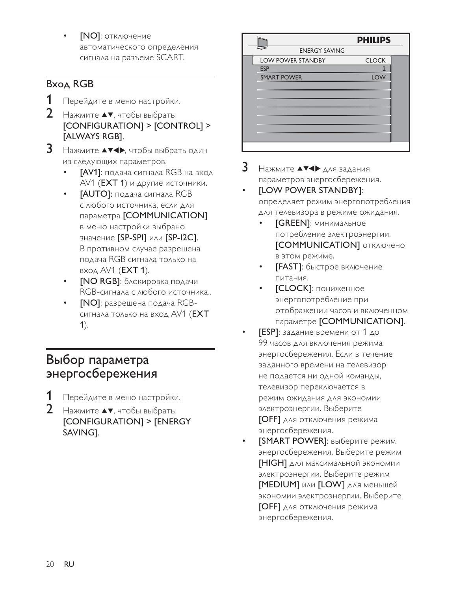**[NO]**: отключение автоматического определения сигнала на разъеме SCART.

## **B**xo<sub>A</sub> RGB

- Перейдите в меню настройки.
- $\mathbf{2}$ Нажмите ▲▼, чтобы выбрать [CONFIGURATION] > [CONTROL] > [ALWAYS RGB].
- $\overline{3}$ Нажмите ▲▼◀▶, чтобы выбрать один из следующих параметров.
	- [AV1]: подача сигнала RGB на вход AV1 (EXT 1) и другие источники.
	- **[AUTO]:** подача сигнала RGB с любого источника, если для параметра [COMMUNICATION] в меню настройки выбрано значение [SP-SPI] или [SP-12C]. В противном случае разрешена подача RGB сигнала только на  $B \times O_A$  AV1 (EXT 1).
	- **[NO RGB]**: блокировка подачи RGB-сигнала с любого источника..
	- [NO]: разрешена подача RGBсигнала только на вход AV1 (**EXT**  $1$ ).

## Выбор параметра энергосбережения

- 1 Перейдите в меню настройки.
- 2 Нажмите ▲▼, чтобы выбрать [CONFIGURATION] > [ENERGY SAVING].

|                          | <b>PHILIPS</b> |
|--------------------------|----------------|
| <b>ENERGY SAVING</b>     |                |
| <b>LOW POWER STANDBY</b> | <b>CLOCK</b>   |
| <b>ESP</b>               |                |
| <b>SMART POWER</b>       | <b>LOW</b>     |
|                          |                |
|                          |                |
|                          |                |
|                          |                |
|                          |                |
|                          |                |
|                          |                |

- 3 Нажмите АТА для задания параметров энергосбережения.
- [LOW POWER STANDBY]: определяет режим энергопотребления для телевизора в режиме ожидания.
	- [GREEN]: минимальное потребление электроэнергии. **[COMMUNICATION]** отключено в этом режиме.
	- **[FAST]**: быстрое включение питания.
	- [CLOCK]: пониженное энергопотребление при отображении часов и включенном параметре [COMMUNICATION].
- **[ESP]**: задание времени от 1 до 99 часов для включения режима энергосбережения. Если в течение заданного времени на телевизор не подается ни одной команды, телевизор переключается в режим ожидания для экономии электроэнергии. Выберите ГОГЕ ДЛЯ ОТКЛЮЧЕНИЯ РЕЖИМА энергосбережения.
- **[SMART POWER]**: выберите режим энергосбережения. Выберите режим **[HIGH]** для максимальной экономии электроэнергии. Выберите режим [MEDIUM] или [LOW] для меньшей экономии электроэнергии. Выберите ГОҒЕ] для отключения режима энергосбережения.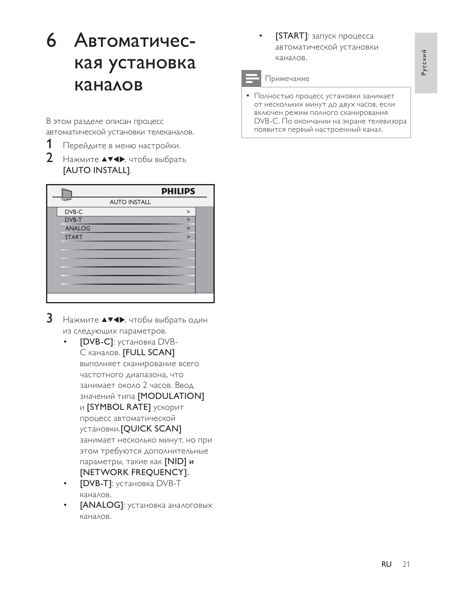# Русский

# 6 Автоматическая установка КАНАЛОВ

В этом разделе описан процесс

автоматической установки телеканалов.

- 1 Перейдите в меню настройки.
- $\mathcal{P}$ Нажмите ▲▼◀▶, чтобы выбрать [AUTO INSTALL].

|               |                     | <b>PHILIPS</b> |
|---------------|---------------------|----------------|
|               | <b>AUTO INSTALL</b> |                |
| DVB-C         |                     | $\geq$         |
| DVB-T         |                     | $\geq$         |
| <b>ANALOG</b> |                     | $\geq$         |
| <b>START</b>  |                     | $\geq$         |
|               |                     |                |
|               |                     |                |
|               |                     |                |
|               |                     |                |
|               |                     |                |
|               |                     |                |
|               |                     |                |

- 3 Нажмите ▲▼◀▶, чтобы выбрать один из следующих параметров.
	- [DVB-C]: установка DVB-C каналов. [FULL SCAN] выполняет сканирование всего частотного диапазона, что занимает около 2 часов. Ввод значений типа [MODULATION] и [SYMBOL RATE] ускорит процесс автоматической установки.[QUICK SCAN] занимает несколько минут, но при этом требуются дополнительные параметры, такие как [NID] и [NETWORK FREQUENCY].
	- **[DVB-T]**: установка DVB-T каналов.
	- **[ANALOG]**: установка аналоговых каналов.

[START]: запуск процесса автоматической установки каналов.



#### Примечание

• Полностью процесс установки занимает от нескольких минут до двух часов, если включен режим полного сканирования DVB-С. По окончании на экране телевизора появится первый настроенный канал.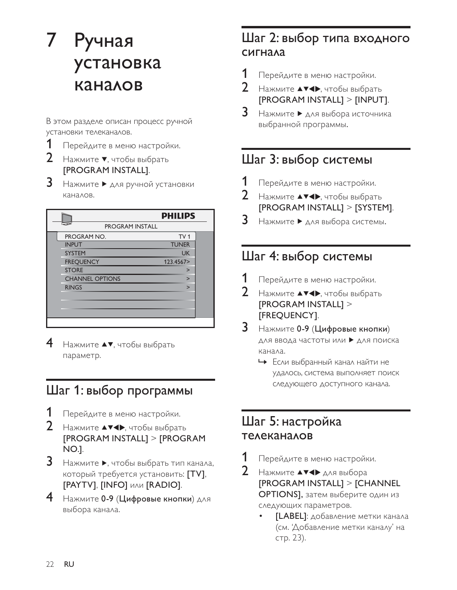# **Ручная** установка каналов

В этом разделе описан процесс ручной установки телеканалов.

- 1 Перейдите в меню настройки.
- $\mathcal{P}$ Нажмите ▼, чтобы выбрать [PROGRAM INSTALL].
- 3 Нажмите ▶ для ручной установки каналов.

|                        | <b>PHILIPS</b>  |
|------------------------|-----------------|
| <b>PROGRAM INSTALL</b> |                 |
| PROGRAM NO.            | TV <sub>1</sub> |
| <b>INPUT</b>           | <b>TUNER</b>    |
| <b>SYSTEM</b>          | <b>UK</b>       |
| <b>FREQUENCY</b>       | 123.4567>       |
| <b>STORE</b>           | ⋗               |
| <b>CHANNEL OPTIONS</b> | $\mathbf{v}$    |
| <b>RINGS</b>           | $\overline{ }$  |
|                        |                 |
|                        |                 |
|                        |                 |
|                        |                 |

4 Нажмите ▲▼, чтобы выбрать параметр.

# Шаг 1: выбор программы

- 1 Перейдите в меню настройки.
- $2 -$ Нажмите ▲▼◀▶, чтобы выбрать [PROGRAM INSTALL] > [PROGRAM **NO.**J.
- $3<sup>1</sup>$ Нажмите ▶, чтобы выбрать тип канала, который требуется установить: [TV], [PAYTV], [INFO] ИЛИ [RADIO].
- 4 Нажмите 0-9 (Цифровые кнопки) для выбора канала.

# Шаг 2: выбор типа входного **СИГНАЛА**

- 1 Перейдите в меню настройки.
- $\mathcal{P}$ Нажмите ▲▼◆ ,чтобы выбрать [PROGRAM INSTALL] > [INPUT].
- 3 Нажмите ▶ для выбора источника выбранной программы.

# Шаг 3: выбор системы

- 1 Перейдите в меню настройки.
- $\overline{2}$ Нажмите ▲▼◀▶, чтобы выбрать [PROGRAM INSTALL] > [SYSTEM].
- 3 Нажмите > для выбора системы.

# Шаг 4: выбор системы

- Перейдите в меню настройки.
- $2<sup>1</sup>$ Нажмите ▲▼◀▶, чтобы выбрать [PROGRAM INSTALL] > [FREQUENCY].
- 3 Нажмите 0-9 (Цифровые кнопки) для ввода частоты или ▶ для поиска канала.
	- → Если выбранный канал найти не удалось, система выполняет поиск следующего доступного канала.

# Шаг 5: настройка телеканалов

- Перейдите в меню настройки.
- $\overline{2}$ Нажмите АТ+ для выбора [PROGRAM INSTALL] > [CHANNEL **OPTIONS], затем выберите один из** следующих параметров.
	- **[LABEL]**: добавление метки канала (см. Добавление метки каналу' на стр. 23).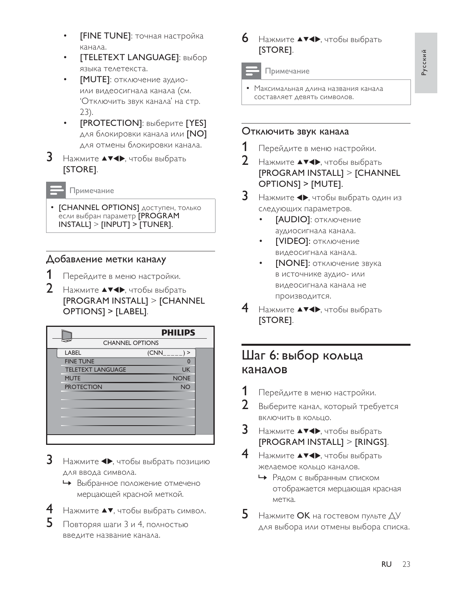- **[FINE TUNE]**: точная настройка канала.
- **[TELETEXT LANGUAGE]**: выбор языка телетекста.
- **[MUTE]**: отключение аудиоили видеосигнала канала (см. Отключить звук канала' на стр.  $23$ ).
- **[PROTECTION]: ВЫберите [YES]** для блокировки канала или **[NO]** для отмены блокировки канала.
- 3 Нажмите ▲▼◀▶, чтобы выбрать [STORE].

Примечание

• [CHANNEL OPTIONS] ДОСТУПЕН, ТОЛЬКО если выбран параметр [PROGRAM  $INSTALL$ ] >  $[INPUT]$  >  $[TUNER]$ .

## Добавление метки каналу

- Перейдите в меню настройки.
- 2 Нажмите ▲▼◀▶, чтобы выбрать [PROGRAM INSTALL] > [CHANNEL OPTIONS] > [LABEL].

|                          | <b>PHILIPS</b>         |
|--------------------------|------------------------|
|                          | <b>CHANNEL OPTIONS</b> |
| <b>LABEL</b>             | (CNN<br>) >            |
| <b>FINE TUNE</b>         |                        |
| <b>TELETEXT LANGUAGE</b> | <b>UK</b>              |
| <b>MUTE</b>              | <b>NONE</b>            |
| <b>PROTECTION</b>        | <b>NO</b>              |
|                          |                        |
|                          |                        |
|                          |                        |
|                          |                        |
|                          |                        |
|                          |                        |

- 3 Нажмите • нобы выбрать позицию для ввода символа.
	- Выбранное положение отмечено мерцающей красной меткой.
- 4 Нажмите ▲▼, чтобы выбрать символ.
- 5 Повторяя шаги 3 и 4, полностью введите название канала.

6 Нажмите ▲▼◆ ,чтобы выбрать [STORE].

#### Примечание

• Максимальная длина названия канала составляет девять символов.

## Отключить звук канала

- 1 Перейдите в меню настройки.
- $\mathcal{P}$ Нажмите ▲▼◀▶, чтобы выбрать [PROGRAM INSTALL] > [CHANNEL OPTIONS] > [MUTE].
- 3 Нажмите • нобы выбрать один из следующих параметров.
	- **[AUDIO]: ОТКЛЮЧЕНИЕ** аудиосигнала канала.
	- [VIDEO]: отключение видеосигнала канала.
	- **[NONE]: ОТКЛЮЧЕНИЕ ЗВУКА** в источнике аудио- или видеосигнала канала не Производится.
- 4 Нажмите АТА), чтобы выбрать [STORE].

# Шаг 6: выбор кольца каналов

- 1 Перейдите в меню настройки.
- $\mathbf{2}$ Выберите канал, который требуется ВКЛЮЧИТЬ В КОЛЬЦО.
- 3 Нажмите ▲▼◀▶, чтобы выбрать [PROGRAM INSTALL] > [RINGS].
- 4 Нажмите ▲▼◆, чтобы выбрать желаемое кольцо каналов.
	- Рядом с выбранным списком отображается мерцающая красная метка.
- 5 Нажмите ОК на гостевом пульте ДУ для выбора или отмены выбора списка.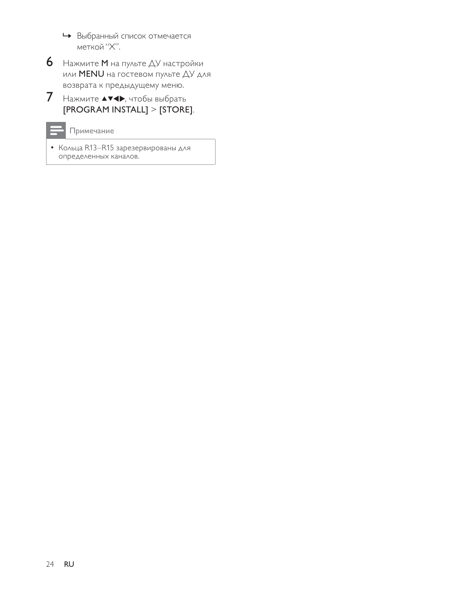- Выбранный список отмечается меткой "Х".
- 6 Нажмите М на пульте ДУ настройки или MENU на гостевом пульте ДУ для возврата к предыдущему меню.
- 7 Нажмите АТА, чтобы выбрать [PROGRAM INSTALL] > [STORE].

Примечание

• Кольца R13-R15 зарезервированы для определенных каналов.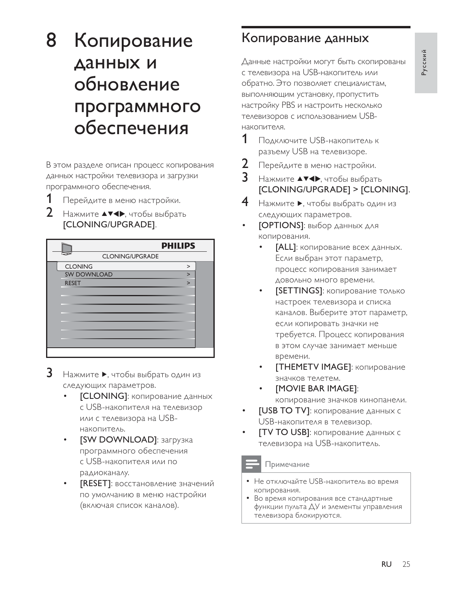# 8 Копирование данных и обновление программного обеспечения

В этом разделе описан процесс копирования данных настройки телевизора и загрузки программного обеспечения.

- Перейдите в меню настройки.
- 2 Нажмите ▲▼◀▶, чтобы выбрать [CLONING/UPGRADE].

|                        | <b>PHILIPS</b> |
|------------------------|----------------|
| <b>CLONING/UPGRADE</b> |                |
| <b>CLONING</b>         | >              |
| <b>SW DOWNLOAD</b>     | $\geq$         |
| <b>RESET</b>           | $\geq$         |
|                        |                |
|                        |                |
|                        |                |
|                        |                |
|                        |                |
|                        |                |
|                        |                |
|                        |                |

- 3 Нажмите >, чтобы выбрать один из следующих параметров.
	- **[CLONING]**: копирование данных с USB-накопителя на телевизор или с телевизора на USBнакопитель.
	- **[SW DOWNLOAD]**: загрузка программного обеспечения с USB-накопителя или по радиоканалу.
	- **[RESET]**: восстановление значений по умолчанию в меню настройки (включая список каналов).

# Копирование данных

Данные настройки могут быть скопированы с телевизора на USB-накопитель или обратно. Это позволяет специалистам, выполняющим установку, пропустить настройку PBS и настроить несколько телевизоров с использованием USBнакопителя.

- 1 Подключите USB-накопитель к разъему USB на телевизоре.
- 2 Перейдите в меню настройки.
- 3 Нажмите ▲▼◀▶, чтобы выбрать [CLONING/UPGRADE] > [CLONING].
- 4 Нажмите  $\blacktriangleright$ , чтобы выбрать один из следующих параметров.
- **[OPTIONS]**: выбор данных для копирования.
	- **[ALL]**: копирование всех данных. Если выбран этот параметр, процесс копирования занимает довольно много времени.
	- [SETTINGS]: копирование только настроек телевизора и списка каналов. Выберите этот параметр, если копировать значки не требуется. Процесс копирования в этом случае занимает меньше времени.
	- **[THEMETV IMAGE]**: копирование значков телетем.
	- [MOVIE BAR IMAGE]: копирование значков кинопанели.
- **[USB TO TV]:** копирование данных с USB-накопителя в телевизор.
- **[TV TO USB]**: копирование данных с телевизора на USB-накопитель.

- Примечание
- Не отключайте USB-накопитель во время копирования.
- Во время копирования все стандартные функции пульта ДУ и элементы управления телевизора блокируются.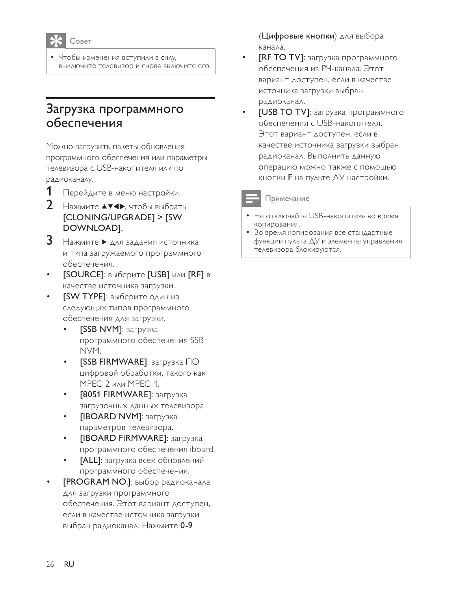

• Чтобы изменения вступили в силу, выключите телевизор и снова включите его.

## Загрузка программного обеспечения

Можно загрузить пакеты обновления программного обеспечения или параметры телевизора с USB-накопителя или по радиоканалу.

- 1 Перейдите в меню настройки.
- 2 Нажмите ▲▼◀▶, чтобы выбрать [CLONING/UPGRADE] > [SW DOWNLOAD].
- 3 Нажмите ▶ для задания источника и типа загружаемого программного обеспечения.
- **[SOURCE]**: выберите [USB] или [RF] в качестве источника загрузки.
- **[SW TYPE]**: выберите один из следующих типов программного обеспечения для загрузки.
	- **[SSB NVM]**: загрузка программного обеспечения SSB NVM.
	- **[SSB FIRMWARE]**: загрузка ПО цифровой обработки, такого как MPEG 2 или MPEG 4.
	- [8051 FIRMWARE]: загрузка загрузочных данных телевизора.
	- [IBOARD NVM]: загрузка параметров телевизора.
	- [IBOARD FIRMWARE]: загрузка программного обеспечения iboard.
	- [ALL]: загрузка всех обновлений программного обеспечения.
- [PROGRAM NO.]: выбор радиоканала для загрузки программного обеспечения. Этот вариант доступен, если в качестве источника загрузки выбран радиоканал. Нажмите 0-9

(Цифровые кнопки) для выбора канала.

- **[RF TO TV]: загрузка программного** обеспечения из РЧ-канала. Этот вариант доступен, если в качестве источника загрузки выбран радиоканал.
- **[USB TO TV]**: загрузка программного обеспечения с USB-накопителя. Этот вариант доступен, если в качестве источника загрузки выбран радиоканал. Выполнить данную операцию можно также с помощью кнопки **F** на пульте ДУ настройки.



### Примечание

- Не отключайте USB-накопитель во время копирования.
- Во время копирования все стандартные функции пульта ДУ и элементы управления телевизора блокируются.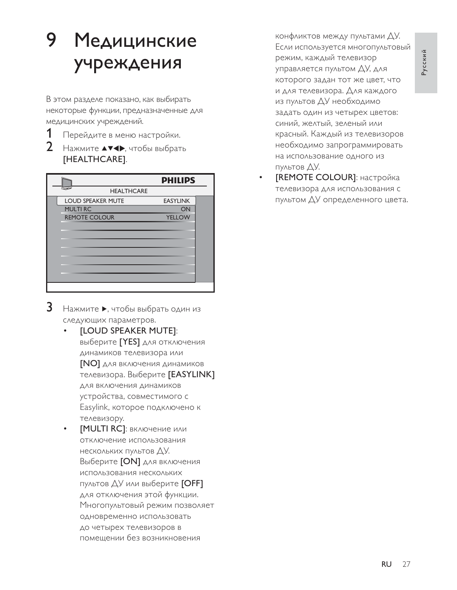# 9 Медицинские учреждения

В этом разделе показано, как выбирать некоторые функции, предназначенные для медицинских учреждений.

- 1 Перейдите в меню настройки.
- $\overline{2}$ Нажмите ▲▼◀▶, чтобы выбрать [HEALTHCARE].

|                          | <b>PHILIPS</b>  |
|--------------------------|-----------------|
| <b>HEALTHCARE</b>        |                 |
| <b>LOUD SPEAKER MUTE</b> | <b>EASYLINK</b> |
| <b>MULTIRC</b>           | ON              |
| <b>REMOTE COLOUR</b>     | <b>YELLOW</b>   |
|                          |                 |
|                          |                 |
|                          |                 |
|                          |                 |
|                          |                 |
|                          |                 |
|                          |                 |
|                          |                 |
|                          |                 |

- 3 Нажмите >, чтобы выбрать один из следующих параметров.
	- [LOUD SPEAKER MUTE]: выберите [YES] для отключения динамиков телевизора или **[NO]** для включения динамиков телевизора. Выберите [EASYLINK] ДЛЯ ВКЛЮЧЕНИЯ ДИНАМИКОВ устройства, совместимого с Easylink, которое подключено к телевизору.
	- **[MULTI RC]**: включение или отключение использования нескольких пультов ДУ. Выберите **[ON]** для включения ИСПОЛЬЗОВАНИЯ НЕСКОЛЬКИХ пультов ДУ или выберите [OFF] для отключения этой функции. Многопультовый режим позволяет одновременно использовать до четырех телевизоров в помешении без возникновения

конфликтов между пультами ДУ. Если используется многопультовый режим, каждый телевизор управляется пультом ДУ, для которого задан тот же цвет, что и для телевизора. Для каждого из пультов ДУ необходимо задать один из четырех цветов: синий, желтый, зеленый или красный. Каждый из телевизоров необходимо запрограммировать на использование одного из пультов ДУ.

**[REMOTE COLOUR]: настройка** телевизора для использования с пультом ДУ определенного цвета.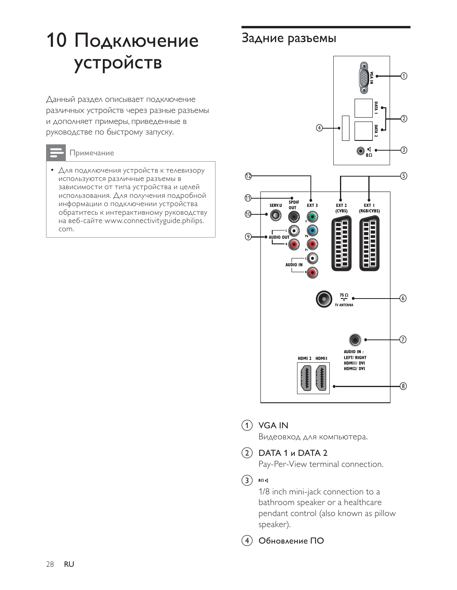# 10 Подключение **устройств**

Данный раздел описывает подключение различных устройств через разные разъемы и дополняет примеры, приведенные в руководстве по быстрому запуску.



#### Примечание

• Для подключения устройств к телевизору используются различные разъемы в зависимости от типа устройства и целей использования. Для получения подробной информации о подключении устройства обратитесь к интерактивному руководству на веб-сайте www.connectivityguide.philips. com.

## Задние разъемы



### $(1)$  VGA IN

Видеовход для компьютера.

## $(2)$  DATA 1  $\mu$  DATA 2

Pay-Per-View terminal connection.

### $(3)$  80 d

1/8 inch mini-jack connection to a bathroom speaker or a healthcare pendant control (also known as pillow speaker).

Обновление ПО  $(4)$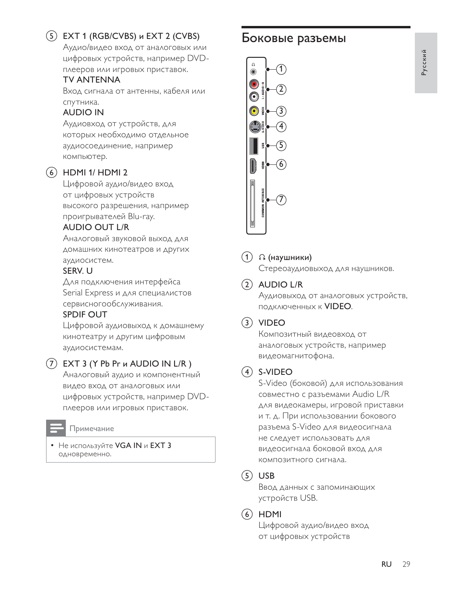## $(5)$  EXT 1 (RGB/CVBS)  $\mu$  EXT 2 (CVBS)

Аудио/видео вход от аналоговых или цифровых устройств, например DVDплееров или игровых приставок.

#### **TV ANTENNA**

Вход сигнала от антенны, кабеля или спутника.

#### **AUDIO IN**

Аудиовход от устройств, для которых необходимо отдельное аудиосоединение, например компьютер.

### $(6)$  HDMI 1/HDMI 2

Цифровой аудио/видео вход от цифровых устройств высокого разрешения, например проигрывателей Blu-ray.

### **AUDIO OUT L/R**

Аналоговый звуковой выход для домашних кинотеатров и других аудиосистем.

#### SERV. U

Для подключения интерфейса Serial Express и для специалистов сервисногообслуживания.

#### **SPDIF OUT**

Цифровой аудиовыход к домашнему кинотеатру и другим цифровым аудиосистемам.

### $(7)$  EXT 3 (Y Pb Pr u AUDIO IN L/R)

Аналоговый аудио и компонентный видео вход от аналоговых или цифровых устройств, например DVDплееров или игровых приставок.

#### Примечание

• Не используйте VGA IN и EXT 3 одновременно.

## Боковые разъемы



### $(1)$   $\cap$  (наушники)

Стереоаудиовыход для наушников.

### $(2)$  AUDIO L/R

Аудиовыход от аналоговых устройств, подключенных к VIDEO.

### $(3)$  VIDEO

Композитный видеовход от аналоговых устройств, например видеомагнитофона.

### $(4)$  S-VIDEO

S-Video (боковой) для использования совместно с разъемами Audio L/R для видеокамеры, игровой приставки и т. д. При использовании бокового разъема S-Video для видеосигнала не следует использовать для видеосигнала боковой вход для композитного сигнала.

### $(5)$  USB

Ввод данных с запоминающих устройств USB.

### $(6)$  HDMI

Цифровой аудио/видео вход от цифровых устройств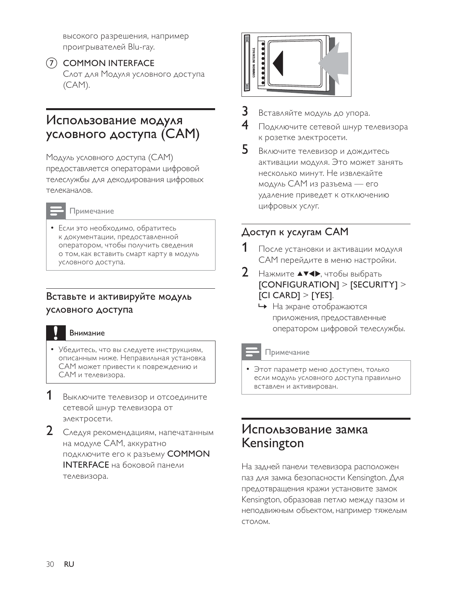высокого разрешения, например проигрывателей Blu-ray.



## (7) COMMON INTERFACE

Слот для Модуля условного доступа  $(CAM)$ .

# Использование модуля условного доступа (САМ)

Модуль условного доступа (САМ) предоставляется операторами цифровой телеслужбы для декодирования цифровых телеканалов.



#### Примечание

• Если это необходимо, обратитесь к документации, предоставленной оператором, чтобы получить сведения о том, как вставить смарт карту в модуль условного доступа.

## Вставьте и активируйте модуль условного доступа



#### Внимание

- Убедитесь, что вы следуете инструкциям, описанным ниже. Неправильная установка САМ может привести к повреждению и САМ и телевизора.
- Выключите телевизор и отсоедините сетевой шнур телевизора от электросети.
- $\mathbf{2}$ Следуя рекомендациям, напечатанным на модуле САМ, аккуратно подключите его к разъему **COMMON INTERFACE** на боковой панели телевизора.



- Вставляйте модуль до упора.
- 4 Подключите сетевой шнур телевизора к розетке электросети.
- 5 Включите телевизор и дождитесь активации модуля. Это может занять несколько минут. Не извлекайте модуль САМ из разъема — его удаление приведет к отключению цифровых услуг.

## Доступ к услугам САМ

- После установки и активации модуля САМ перейдите в меню настройки.
- 7 Нажмите ▲▼◀▶, чтобы выбрать [CONFIGURATION] > [SECURITY] >  $|CI CARD| > |YES|$ .
	- На экране отображаются приложения, предоставленные оператором цифровой телеслужбы.



#### Примечание

• Этот параметр меню доступен, только если модуль условного доступа правильно вставлен и активирован.

## Использование замка Kensington

На задней панели телевизора расположен паз для замка безопасности Kensington. Для предотвращения кражи установите замок Kensington, образовав петлю между пазом и неподвижным объектом, например тяжелым CTOAOM.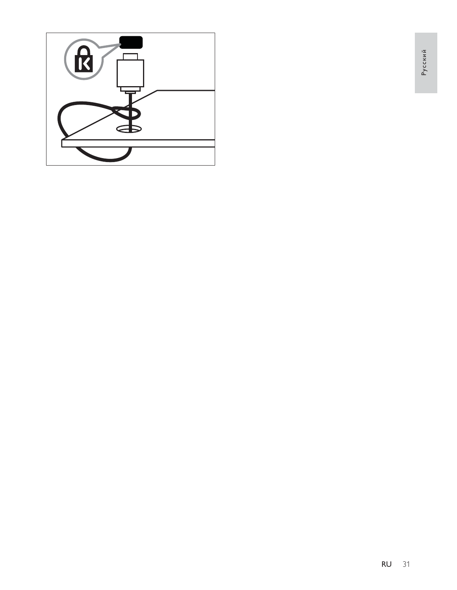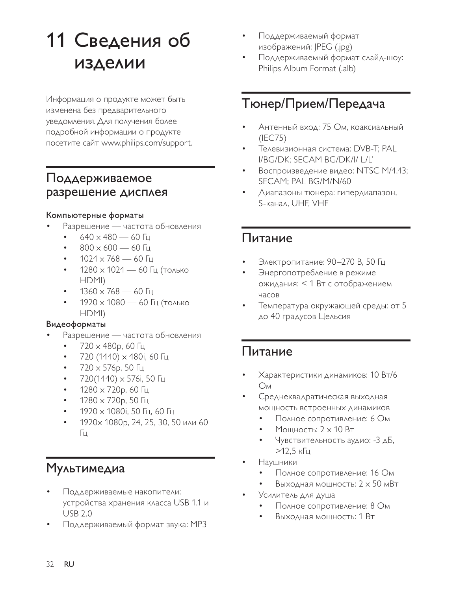# 11 Сведения об **ИЗДЕЛИИ**

Информация о продукте может быть изменена без предварительного уведомления. Для получения более подробной информации о продукте посетите сайт www.philips.com/support.

## Поддерживаемое разрешение дисплея

### Компьютерные форматы

- Разрешение частота обновления
	- $640 \times 480 60$  Fu
	- $800 \times 600 60$  Гц
	- $1024 \times 768$  60 Гц
	- 1280 x 1024 60 Гц (только HDMI)
	- $1360 \times 768$  60 Гц
	- 1920 x 1080 60 Гц (только HDMI)

### Видеоформаты

- Разрешение частота обновления
	- 720 х 480р, 60 Гц
	- 720 (1440)  $\times$  480i, 60  $\Gamma$
	- 720 х 576р, 50 Гц
	- $720(1440) \times 576$ i, 50  $\Gamma$ u
	- $1280 \times 720$ р, 60 Гц
	- $1280 \times 720$ р, 50 Гц
	- 1920 х 1080і, 50 Гц, 60 Гц
	- 1920х 1080р, 24, 25, 30, 50 или 60 Гц

# Мультимедиа

- Поддерживаемые накопители: устройства хранения класса USB 1.1 и **USB 2.0**
- Поддерживаемый формат звука: МРЗ
- Поддерживаемый формат изображений: JPEG (.jpg)
- Поддерживаемый формат слайд-шоу: Philips Album Format (.alb)

# Тюнер/Прием/Передача

- Антенный вход: 75 Ом, коаксиальный  $(IEC75)$
- Телевизионная система: DVB-T; PAL I/BG/DK; SECAM BG/DK/I/ L/L'
- Воспроизведение видео: NTSC M/4.43; SECAM; PAL BG/M/N/60
- Диапазоны тюнера: гипердиапазон, S-канал, UHF, VHF

# Питание

- Электропитание: 90-270 В, 50 Гц
- Энергопотребление в режиме ожидания: < 1 Вт с отображением часов
- Температура окружающей среды: от 5 до 40 градусов Цельсия

# Питание

- Характеристики динамиков: 10 Вт/6 Oм
- Среднеквадратическая выходная мощность встроенных динамиков
	- Полное сопротивление: 6 Ом
	- Мощность: 2 х 10 Вт
	- Чувствительность аудио: -3 дБ, >12,5 кГц
- Наушники
	- Полное сопротивление: 16 Ом
	- Выходная мощность: 2 х 50 мВт
- Усилитель для душа
	- Полное сопротивление: 8 Ом
	- Выходная мощность: 1 Вт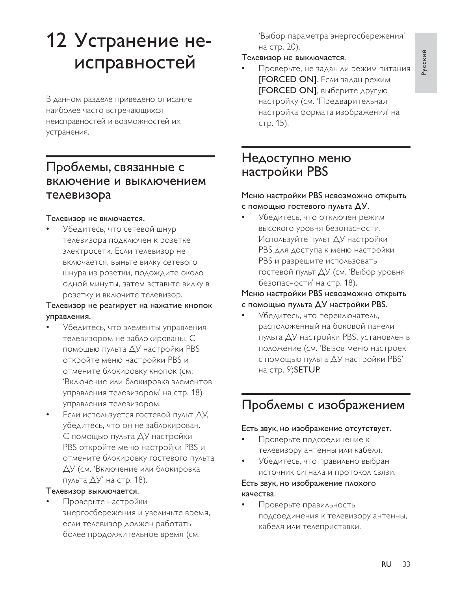# 12 Устранение неисправностей

В данном разделе приведено описание наиболее часто встречающихся неисправностей и возможностей их устранения.

# Проблемы, связанные с ВКЛЮЧЕНИЕ И ВЫКЛЮЧЕНИЕМ телевизора

#### Телевизор не включается.

Убедитесь, что сетевой шнур телевизора подключен к розетке электросети. Если телевизор не включается, выньте вилку сетевого шнура из розетки, подождите около ОДНОЙ МИНУТЫ, ЗАТЕМ ВСТАВЬТЕ ВИЛКУ В розетку и включите телевизор.

### Телевизор не реагирует на нажатие кнопок управления.

- Убедитесь, что элементы управления телевизором не заблокированы. С помощью пульта ДУ настройки PBS откройте меню настройки PBS и отмените блокировку кнопок (см. Включение или блокировка элементов управления телевизором' на стр. 18) управления телевизором.
- Если используется гостевой пульт ДУ, убедитесь, что он не заблокирован. С помощью пульта ДУ настройки PBS откройте меню настройки PBS и отмените блокировку гостевого пульта ДУ (см. Включение или блокировка пульта ДУ' на стр. 18).

#### Телевизор выключается.

Проверьте настройки энергосбережения и увеличьте время, если телевизор должен работать более продолжительное время (см.

Выбор параметра энергосбережения' на стр. 20).

## Телевизор не выключается.

Проверьте, не задан ли режим питания **[FORCED ON]**. Если задан режим **[FORCED ON]**, выберите другую настройку (см. 'Предварительная настройка формата изображения' на стр. 15).

## Недоступно меню настройки PBS

### Меню настройки PBS невозможно открыть с помощью гостевого пульта ДУ.

Убедитесь, что отключен режим высокого уровня безопасности. Используйте пульт ДУ настройки PBS для доступа к меню настройки PBS и разрешите использовать гостевой пульт ДУ (см. 'Выбор уровня безопасности' на стр. 18).

### Меню настройки PBS невозможно открыть с помощью пульта ДУ настройки PBS.

Убедитесь, что переключатель, расположенный на боковой панели пульта ДУ настройки PBS, установлен в положение (см. 'Вызов меню настроек с помощью пульта ДУ настройки PBS' на стр. 9)**SETUP**.

# Проблемы с изображением

## Есть звук, но изображение отсутствует.

- Проверьте подсоединение к телевизору антенны или кабеля.
- $\bullet$ Убедитесь, что правильно выбран источник сигнала и протокол связи.

### Есть звук, но изображение плохого качества.

Проверьте правильность подсоединения к телевизору антенны, кабеля или телеприставки.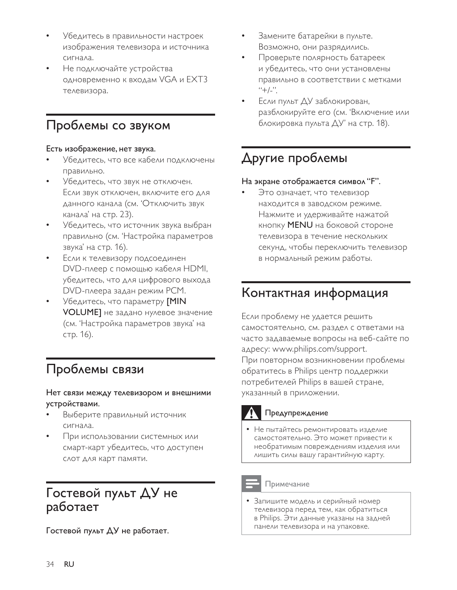- Убедитесь в правильности настроек изображения телевизора и источника сигнала.
- Не подключайте устройства одновременно к входам VGA и EXT3 телевизора.

# Проблемы со звуком

#### Есть изображение, нет звука.

- Убедитесь, что все кабели подключены правильно.
- Убедитесь, что звук не отключен. Если звук отключен, включите его для данного канала (см. 'Отключить звук канала' на стр. 23).
- Убедитесь, что источник звука выбран правильно (см. Частройка параметров звука' на стр. 16).
- Если к телевизору подсоединен DVD-плеер с помощью кабеля HDMI, убедитесь, что для цифрового выхода DVD-плеера задан режим РСМ.
- Убедитесь, что параметру **[MIN VOLUME**] не задано нулевое значение (см. 'Настройка параметров звука' на стр. 16).

# Проблемы связи

#### Нет связи между телевизором и внешними устройствами.

- Выберите правильный источник сигнала.
- При использовании системных или смарт-карт убедитесь, что доступен слот для карт памяти.

# Гостевой пульт ДУ не работает

Гостевой пульт ДУ не работает.

- Замените батарейки в пульте. Возможно, они разрядились.
- Проверьте полярность батареек и убедитесь, что они установлены правильно в соответствии с метками  $``+/-".$
- Если пульт ДУ заблокирован, разблокируйте его (см. Включение или блокировка пульта ДУ' на стр. 18).

# Другие проблемы

### На экране отображается символ "F".

Это означает, что телевизор находится в заводском режиме. Нажмите и удерживайте нажатой кнопку **MENU** на боковой стороне телевизора в течение нескольких секунд, чтобы переключить телевизор в нормальный режим работы.

# Контактная информация

Если проблему не удается решить самостоятельно, см. раздел с ответами на часто задаваемые вопросы на веб-сайте по адресу: www.philips.com/support. При повторном возникновении проблемы обратитесь в Philips центр поддержки потребителей Philips в вашей стране, указанный в приложении.

## Предупреждение

• Не пытайтесь ремонтировать изделие самостоятельно. Это может привести к необратимым повреждениям изделия или лишить силы вашу гарантийную карту.

## Примечание

• Запишите модель и серийный номер телевизора перед тем, как обратиться в Philips. Эти данные указаны на задней панели телевизора и на упаковке.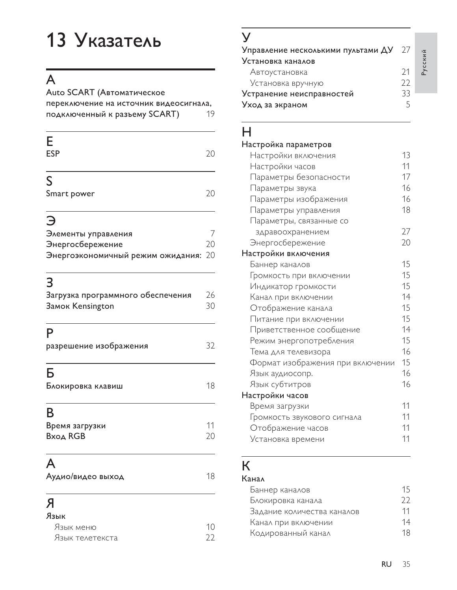# 13 Указатель

# $\overline{a}$

| $\overline{\mathsf{A}}$                |    |
|----------------------------------------|----|
| Auto SCART (Автоматическое             |    |
| переключение на источник видеосигнала, |    |
| подключенный к разъему SCART)          | 19 |
| E                                      |    |
| <b>ESP</b>                             | 20 |
| S                                      |    |
| Smart power                            | 20 |
| Э                                      |    |
| Элементы управления                    | 7  |
| Энергосбережение                       | 20 |
| Энергоэкономичный режим ожидания:      | 20 |
| 3                                      |    |
| Загрузка программного обеспечения      | 26 |
| <b>Замок Kensington</b>                | 30 |
| P                                      |    |
| разрешение изображения                 | 32 |
| Б                                      |    |
| Блокировка клавиш                      | 18 |
| Β                                      |    |
| Время загрузки                         | 11 |
| <b>Bxog RGB</b>                        | 20 |
| А                                      |    |
| Аудио/видео выход                      | 18 |
| Я                                      |    |
| Язык                                   |    |
| Язык меню                              | 10 |
| Язык телетекста                        | 22 |

| Управление несколькими пультами ДУ | 77 |
|------------------------------------|----|
| Установка каналов                  |    |
| Автоустановка                      | 21 |
| Установка вручную                  | フフ |
| Устранение неисправностей          |    |
| Уход за экраном                    |    |

# $\overline{\mathsf{H}}$

| Настройка параметров             |    |
|----------------------------------|----|
| Настройки включения              | 13 |
| Настройки часов                  | 11 |
| Параметры безопасности           | 17 |
| Параметры звука                  | 16 |
| Параметры изображения            | 16 |
| Параметры управления             | 18 |
| Параметры, связанные со          |    |
| здравоохранением                 | 27 |
| Энергосбережение                 | 20 |
| Настройки включения              |    |
| Баннер каналов                   | 15 |
| Громкость при включении          | 15 |
| Индикатор громкости              | 15 |
| Канал при включении              | 14 |
| Отображение канала               | 15 |
| Питание при включении            | 15 |
| Приветственное сообщение         | 14 |
| Режим энергопотребления          | 15 |
| Тема для телевизора              | 16 |
| Формат изображения при включении | 15 |
| Язык аудиосопр.                  | 16 |
| Язык субтитров                   | 16 |
| Настройки часов                  |    |
| Время загрузки                   | 11 |
| Громкость звукового сигнала      | 11 |
| Отображение часов                | 11 |
| Установка времени                | 11 |
|                                  |    |

# $K_{\text{Kau}}$

| ∶анал                      |    |
|----------------------------|----|
| Баннер каналов             | 15 |
| Блокировка канала          | 22 |
| Задание количества каналов | 11 |
| Канал при включении        | 14 |
| Кодированный канал         | 1۶ |
|                            |    |

# Русский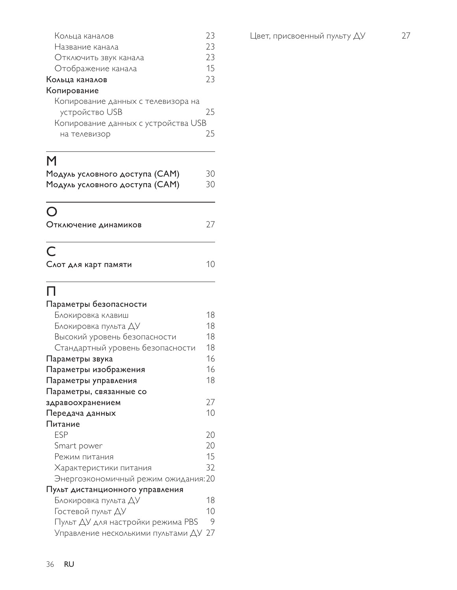| Кольца каналов                      | 23 |
|-------------------------------------|----|
| Название канала                     | 23 |
| Отключить звук канала               | 23 |
| Отображение канала                  | 15 |
| Кольца каналов                      | 23 |
| Копирование                         |    |
| Копирование данных с телевизора на  |    |
| устройство USB                      | 25 |
| Копирование данных с устройства USB |    |
| на телевизор                        | 25 |
|                                     |    |
| M                                   |    |
| Модуль условного доступа (САМ)      | 30 |
| Модуль условного доступа (САМ)      | 30 |
|                                     |    |
| $\bigcap$                           |    |
| Отключение динамиков                | 27 |
|                                     |    |
| $\overline{C}$                      |    |
|                                     | 10 |
| Слот для карт памяти                |    |
|                                     |    |
| Параметры безопасности              |    |
| Блокировка клавиш                   | 18 |
| Блокировка пульта ДУ                | 18 |
| Высокий уровень безопасности        | 18 |
| Стандартный уровень безопасности    | 18 |
| Параметры звука                     | 16 |
| Параметры изображения               | 16 |
| Параметры управления                | 18 |
| Параметры, связанные со             |    |
| здравоохранением                    | 27 |
| Передача данных                     | 10 |
| Питание                             |    |
| ESP                                 | 20 |
|                                     | 20 |
| Smart power                         |    |
| Режим питания                       | 15 |
| Характеристики питания              | 32 |
| Энергоэкономичный режим ожидания:20 |    |
| Пульт дистанционного управления     |    |
| Блокировка пульта ДУ                | 18 |
| Гостевой пульт ДУ                   | 10 |
| Пульт ДУ для настройки режима PBS   | 9  |
| Управление несколькими пультами ДУ  | 27 |

Цвет, присвоенный пульту ДУ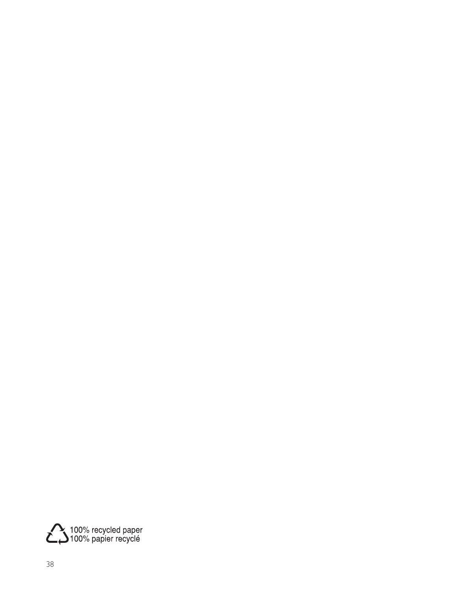